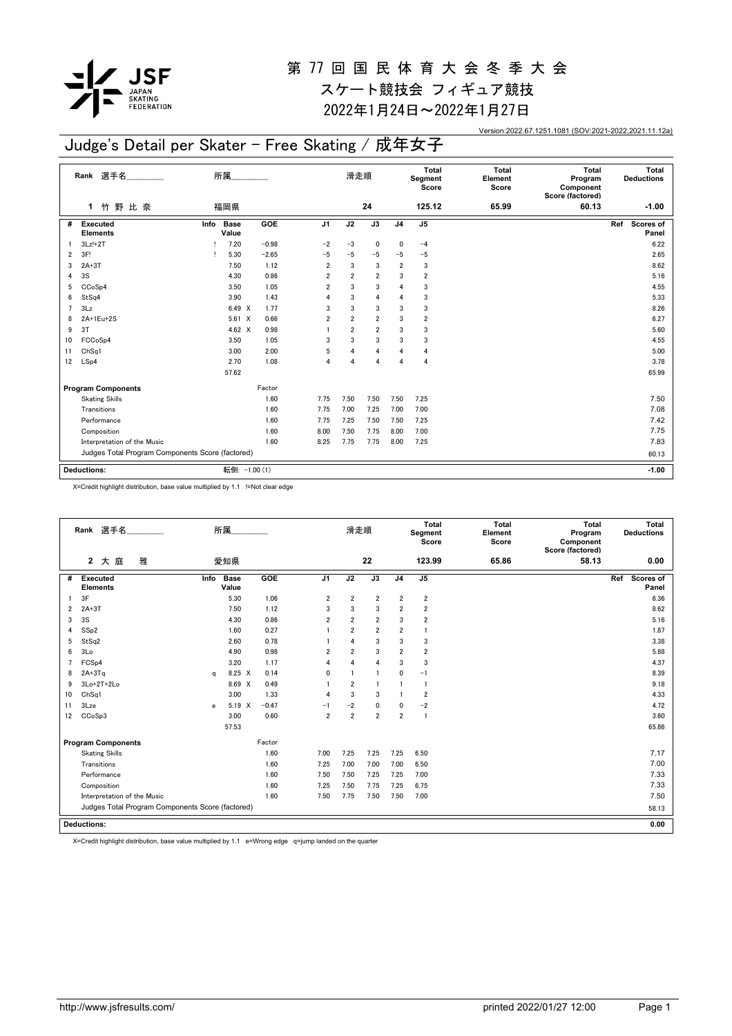

2022年1月24日~2022年1月27日

Version:2022.67.1251.1081 (SOV:2021-2022,2021.11.12a)

## Judge's Detail per Skater - Free Skating / 成年女子

|                | Rank 選手名                                         |                              | 所属      |                |                | 滑走順             |                |                         | <b>Total</b><br>Element<br>Score | <b>Total</b><br>Program<br>Component<br>Score (factored) | Total<br><b>Deductions</b> |
|----------------|--------------------------------------------------|------------------------------|---------|----------------|----------------|-----------------|----------------|-------------------------|----------------------------------|----------------------------------------------------------|----------------------------|
|                | 竹野比奈<br>1.                                       | 福岡県                          |         |                |                | 24              |                | 125.12                  | 65.99                            | 60.13                                                    | $-1.00$                    |
| #              | <b>Executed</b><br><b>Elements</b>               | <b>Base</b><br>Info<br>Value | GOE     | J <sub>1</sub> | J2             | $\overline{J3}$ | J <sub>4</sub> | J5                      |                                  |                                                          | Scores of<br>Ref<br>Panel  |
|                | $3Lz!+2T$                                        | 7.20                         | $-0.98$ | $-2$           | $-3$           | $\mathbf 0$     | 0              | $-4$                    |                                  |                                                          | 6.22                       |
| 2              | 3F!                                              | 5.30                         | $-2.65$ | $-5$           | $-5$           | $-5$            | $-5$           | $-5$                    |                                  |                                                          | 2.65                       |
| 3              | $2A+3T$                                          | 7.50                         | 1.12    | $\overline{2}$ | 3              | 3               | $\overline{2}$ | 3                       |                                  |                                                          | 8.62                       |
| 4              | 3S                                               | 4.30                         | 0.86    | $\overline{2}$ | $\overline{2}$ | $\overline{2}$  | 3              | $\overline{\mathbf{2}}$ |                                  |                                                          | 5.16                       |
| 5              | CCoSp4                                           | 3.50                         | 1.05    | $\overline{2}$ | 3              | 3               | 4              | 3                       |                                  |                                                          | 4.55                       |
| 6              | StSq4                                            | 3.90                         | 1.43    | $\overline{4}$ | 3              | $\overline{4}$  | 4              | 3                       |                                  |                                                          | 5.33                       |
| $\overline{7}$ | 3Lz                                              | 6.49 X                       | 1.77    | 3              | 3              | 3               | 3              | 3                       |                                  |                                                          | 8.26                       |
| 8              | 2A+1Eu+2S                                        | $5.61 \t X$                  | 0.66    | $\overline{2}$ | $\overline{2}$ | $\overline{2}$  | 3              | $\overline{\mathbf{2}}$ |                                  |                                                          | 6.27                       |
| 9              | 3T                                               | 4.62 $\times$                | 0.98    |                | $\overline{2}$ | $\overline{2}$  | 3              | 3                       |                                  |                                                          | 5.60                       |
| 10             | FCCoSp4                                          | 3.50                         | 1.05    | 3              | 3              | 3               | 3              | 3                       |                                  |                                                          | 4.55                       |
| 11             | Ch <sub>Sq1</sub>                                | 3.00                         | 2.00    | 5              | $\overline{4}$ | $\overline{4}$  | 4              | 4                       |                                  |                                                          | 5.00                       |
| 12             | LSp4                                             | 2.70                         | 1.08    | $\overline{4}$ | $\overline{4}$ | $\overline{4}$  | $\overline{4}$ | 4                       |                                  |                                                          | 3.78                       |
|                |                                                  | 57.62                        |         |                |                |                 |                |                         |                                  |                                                          | 65.99                      |
|                | <b>Program Components</b>                        |                              | Factor  |                |                |                 |                |                         |                                  |                                                          |                            |
|                | <b>Skating Skills</b>                            |                              | 1.60    | 7.75           | 7.50           | 7.50            | 7.50           | 7.25                    |                                  |                                                          | 7.50                       |
|                | Transitions                                      |                              | 1.60    | 7.75           | 7.00           | 7.25            | 7.00           | 7.00                    |                                  |                                                          | 7.08                       |
|                | Performance                                      |                              | 1.60    | 7.75           | 7.25           | 7.50            | 7.50           | 7.25                    |                                  |                                                          | 7.42                       |
|                | Composition                                      |                              | 1.60    | 8.00           | 7.50           | 7.75            | 8.00           | 7.00                    |                                  |                                                          | 7.75                       |
|                | Interpretation of the Music                      |                              | 1.60    | 8.25           | 7.75           | 7.75            | 8.00           | 7.25                    |                                  |                                                          | 7.83                       |
|                | Judges Total Program Components Score (factored) |                              |         |                |                |                 |                |                         |                                  |                                                          | 60.13                      |
|                | <b>Deductions:</b>                               | 転倒: -1.00 (1)                |         |                |                |                 |                |                         |                                  |                                                          | $-1.00$                    |

X=Credit highlight distribution, base value multiplied by 1.1 !=Not clear edge

|    | Rank 選手名                                         |             | 所属.                  |         |                | 滑走順            |                |                         | <b>Total</b><br>Segment<br>Score | <b>Total</b><br>Element<br>Score | Total<br>Program<br>Component<br>Score (factored) | Total<br><b>Deductions</b>       |
|----|--------------------------------------------------|-------------|----------------------|---------|----------------|----------------|----------------|-------------------------|----------------------------------|----------------------------------|---------------------------------------------------|----------------------------------|
|    | 雅<br>$\mathbf{2}$<br>大 庭                         |             | 愛知県                  |         |                |                | 22             |                         | 123.99                           | 65.86                            | 58.13                                             | 0.00                             |
| #  | <b>Executed</b><br><b>Elements</b>               | Info        | <b>Base</b><br>Value | GOE     | J <sub>1</sub> | J2             | J3             | J <sub>4</sub>          | J <sub>5</sub>                   |                                  |                                                   | <b>Scores of</b><br>Ref<br>Panel |
|    | 3F                                               |             | 5.30                 | 1.06    | 2              | 2              | $\overline{2}$ | $\overline{\mathbf{2}}$ | 2                                |                                  |                                                   | 6.36                             |
| 2  | $2A+3T$                                          |             | 7.50                 | 1.12    | 3              | 3              | 3              | $\overline{2}$          | $\overline{2}$                   |                                  |                                                   | 8.62                             |
| 3  | 3S                                               |             | 4.30                 | 0.86    | $\overline{2}$ | $\overline{2}$ | $\overline{2}$ | 3                       | $\overline{2}$                   |                                  |                                                   | 5.16                             |
| 4  | SS <sub>p2</sub>                                 |             | 1.60                 | 0.27    |                | $\overline{2}$ | $\overline{2}$ | $\overline{2}$          | $\mathbf{1}$                     |                                  |                                                   | 1.87                             |
| 5  | StSq2                                            |             | 2.60                 | 0.78    |                | $\overline{4}$ | 3              | 3                       | 3                                |                                  |                                                   | 3.38                             |
| 6  | 3Lo                                              |             | 4.90                 | 0.98    | $\overline{2}$ | $\overline{2}$ | 3              | $\overline{2}$          | $\overline{2}$                   |                                  |                                                   | 5.88                             |
| 7  | FCS <sub>p4</sub>                                |             | 3.20                 | 1.17    | 4              | $\overline{4}$ | 4              | 3                       | 3                                |                                  |                                                   | 4.37                             |
| 8  | $2A+3Ta$                                         | $\alpha$    | 8.25 X               | 0.14    | $\mathbf{0}$   | $\overline{1}$ | -1             | $\mathbf{0}$            | $-1$                             |                                  |                                                   | 8.39                             |
| 9  | 3Lo+2T+2Lo                                       |             | 8.69 X               | 0.49    |                | $\overline{2}$ | -1             | $\mathbf{1}$            | -1                               |                                  |                                                   | 9.18                             |
| 10 | ChSq1                                            |             | 3.00                 | 1.33    | 4              | 3              | 3              | $\mathbf{1}$            | $\overline{2}$                   |                                  |                                                   | 4.33                             |
| 11 | 3Lze                                             | $\mathbf e$ | 5.19 X               | $-0.47$ | $-1$           | $-2$           | $\mathbf{0}$   | $\mathbf 0$             | $-2$                             |                                  |                                                   | 4.72                             |
| 12 | CC <sub>o</sub> S <sub>p</sub> 3                 |             | 3.00                 | 0.60    | $\overline{2}$ | $\overline{2}$ | $\overline{2}$ | $\overline{2}$          | $\overline{1}$                   |                                  |                                                   | 3.60                             |
|    |                                                  |             | 57.53                |         |                |                |                |                         |                                  |                                  |                                                   | 65.86                            |
|    | <b>Program Components</b>                        |             |                      | Factor  |                |                |                |                         |                                  |                                  |                                                   |                                  |
|    | <b>Skating Skills</b>                            |             |                      | 1.60    | 7.00           | 7.25           | 7.25           | 7.25                    | 6.50                             |                                  |                                                   | 7.17                             |
|    | Transitions                                      |             |                      | 1.60    | 7.25           | 7.00           | 7.00           | 7.00                    | 6.50                             |                                  |                                                   | 7.00                             |
|    | Performance                                      |             |                      | 1.60    | 7.50           | 7.50           | 7.25           | 7.25                    | 7.00                             |                                  |                                                   | 7.33                             |
|    | Composition                                      |             |                      | 1.60    | 7.25           | 7.50           | 7.75           | 7.25                    | 6.75                             |                                  |                                                   | 7.33                             |
|    | Interpretation of the Music                      |             |                      | 1.60    | 7.50           | 7.75           | 7.50           | 7.50                    | 7.00                             |                                  |                                                   | 7.50                             |
|    | Judges Total Program Components Score (factored) |             |                      |         |                |                |                |                         |                                  |                                  |                                                   | 58.13                            |
|    | <b>Deductions:</b>                               | 0.00        |                      |         |                |                |                |                         |                                  |                                  |                                                   |                                  |
|    |                                                  |             |                      |         |                |                |                |                         |                                  |                                  |                                                   |                                  |

X=Credit highlight distribution, base value multiplied by 1.1 e=Wrong edge q=jump landed on the quarter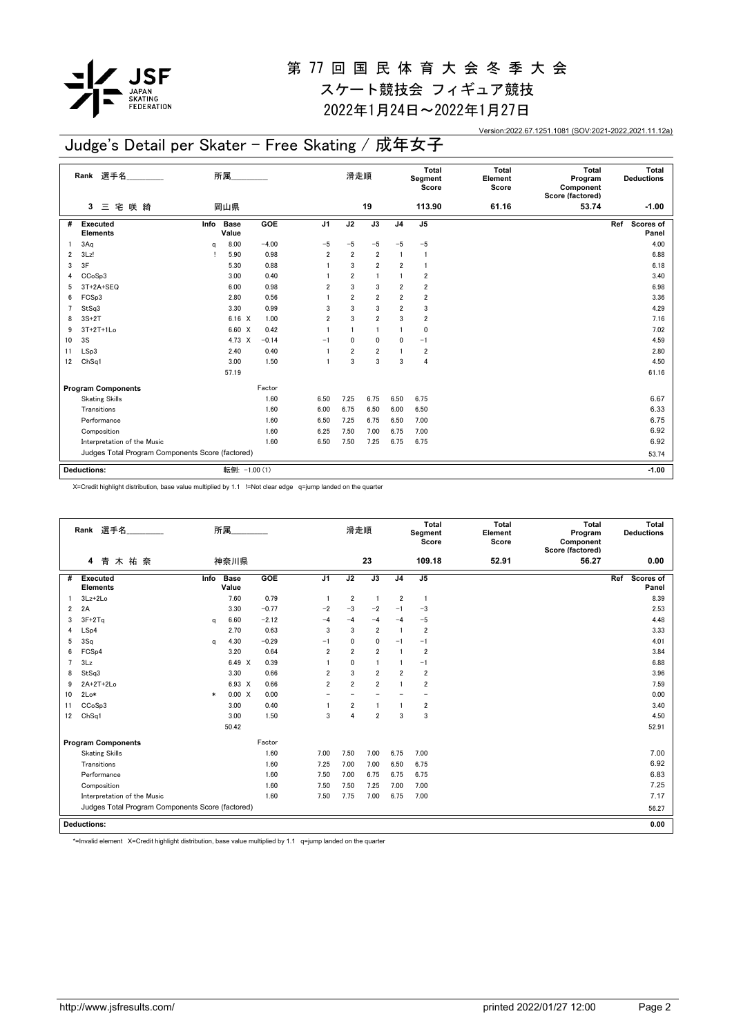

2022年1月24日~2022年1月27日

Version:2022.67.1251.1081 (SOV:2021-2022,2021.11.12a)

## Judge's Detail per Skater - Free Skating / 成年女子

|    | Rank 選手名                                         |          | 所属                   |         | 滑走順            |                |                 | Total<br>Segment<br>Score | <b>Total</b><br>Element<br>Score | <b>Total</b><br>Program<br>Component<br>Score (factored) | Total<br><b>Deductions</b> |                           |
|----|--------------------------------------------------|----------|----------------------|---------|----------------|----------------|-----------------|---------------------------|----------------------------------|----------------------------------------------------------|----------------------------|---------------------------|
|    | 咲 綺<br>三宅<br>3                                   |          | 岡山県                  |         |                |                | 19              |                           | 113.90                           | 61.16                                                    | 53.74                      | $-1.00$                   |
| #  | <b>Executed</b><br><b>Elements</b>               | Info     | <b>Base</b><br>Value | GOE     | J1             | J2             | $\overline{J3}$ | J <sub>4</sub>            | J <sub>5</sub>                   |                                                          |                            | Scores of<br>Ref<br>Panel |
|    | 3Aq                                              | $\alpha$ | 8.00                 | $-4.00$ | $-5$           | $-5$           | $-5$            | $-5$                      | $-5$                             |                                                          |                            | 4.00                      |
| 2  | 3Lz!                                             |          | 5.90                 | 0.98    | $\overline{2}$ | $\overline{2}$ | $\overline{2}$  |                           | $\mathbf{1}$                     |                                                          |                            | 6.88                      |
| 3  | 3F                                               |          | 5.30                 | 0.88    |                | 3              | $\overline{2}$  | $\overline{\mathbf{2}}$   | $\overline{1}$                   |                                                          |                            | 6.18                      |
| 4  | CCoSp3                                           |          | 3.00                 | 0.40    |                | $\overline{2}$ | $\overline{1}$  |                           | $\overline{2}$                   |                                                          |                            | 3.40                      |
| 5  | 3T+2A+SEQ                                        |          | 6.00                 | 0.98    | $\overline{2}$ | 3              | 3               | 2                         | 2                                |                                                          |                            | 6.98                      |
| 6  | FCSp3                                            |          | 2.80                 | 0.56    |                | $\overline{2}$ | $\overline{2}$  | $\overline{2}$            | $\overline{2}$                   |                                                          |                            | 3.36                      |
|    | StSq3                                            |          | 3.30                 | 0.99    | 3              | 3              | 3               | $\overline{2}$            | 3                                |                                                          |                            | 4.29                      |
| 8  | $3S+2T$                                          |          | $6.16 \quad X$       | 1.00    | $\overline{2}$ | 3              | $\overline{2}$  | 3                         | $\overline{\mathbf{2}}$          |                                                          |                            | 7.16                      |
| 9  | $3T+2T+1Lo$                                      |          | 6.60 X               | 0.42    |                |                | $\overline{1}$  |                           | 0                                |                                                          |                            | 7.02                      |
| 10 | 3S                                               |          | 4.73 X               | $-0.14$ | $-1$           | 0              | $\mathbf 0$     | 0                         | $-1$                             |                                                          |                            | 4.59                      |
| 11 | LSp3                                             |          | 2.40                 | 0.40    |                | $\overline{2}$ | $\overline{2}$  |                           | $\overline{\mathbf{2}}$          |                                                          |                            | 2.80                      |
| 12 | ChSq1                                            |          | 3.00                 | 1.50    | $\overline{1}$ | 3              | 3               | 3                         | 4                                |                                                          |                            | 4.50                      |
|    |                                                  |          | 57.19                |         |                |                |                 |                           |                                  |                                                          |                            | 61.16                     |
|    | <b>Program Components</b>                        |          |                      | Factor  |                |                |                 |                           |                                  |                                                          |                            |                           |
|    | <b>Skating Skills</b>                            |          |                      | 1.60    | 6.50           | 7.25           | 6.75            | 6.50                      | 6.75                             |                                                          |                            | 6.67                      |
|    | Transitions                                      |          |                      | 1.60    | 6.00           | 6.75           | 6.50            | 6.00                      | 6.50                             |                                                          |                            | 6.33                      |
|    | Performance                                      |          |                      | 1.60    | 6.50           | 7.25           | 6.75            | 6.50                      | 7.00                             |                                                          |                            | 6.75                      |
|    | Composition                                      |          |                      | 1.60    | 6.25           | 7.50           | 7.00            | 6.75                      | 7.00                             |                                                          |                            | 6.92                      |
|    | Interpretation of the Music                      |          |                      | 1.60    | 6.50           | 7.50           | 7.25            | 6.75                      | 6.75                             |                                                          |                            | 6.92                      |
|    | Judges Total Program Components Score (factored) |          |                      |         |                |                |                 |                           |                                  |                                                          |                            | 53.74                     |
|    | <b>Deductions:</b>                               |          | 転倒: -1.00 (1)        |         |                |                |                 |                           |                                  |                                                          |                            | $-1.00$                   |

X=Credit highlight distribution, base value multiplied by 1.1 !=Not clear edge q=jump landed on the quarter

| 23<br>109.18<br>52.91<br>56.27<br>青<br>木祐奈<br>神奈川県<br>4<br><b>GOE</b><br>J <sub>1</sub><br>J2<br>J3<br>J <sub>5</sub><br>J <sub>4</sub><br>#<br>Executed<br>Info<br><b>Base</b><br>Ref<br>Value<br><b>Elements</b><br>0.79<br>$3Lz+2Lo$<br>7.60<br>$\overline{2}$<br>2<br>-1<br>$\overline{1}$<br>$\overline{1}$<br>2A<br>3.30<br>$-0.77$<br>$-3$<br>$-2$<br>$-2$<br>$-3$<br>$\overline{2}$<br>$-1$<br>$3F+2Tq$<br>6.60<br>$-2.12$<br>$-4$<br>$-5$<br>3<br>$-4$<br>$-4$<br>$-4$<br>a<br>LSp4<br>2.70<br>0.63<br>3<br>$\overline{2}$<br>$\overline{2}$<br>3<br>$\overline{1}$<br>4<br>$-0.29$<br>3Sq<br>4.30<br>0<br>5<br>$-1$<br>$\mathbf{0}$<br>$-1$<br>$-1$<br>a<br>FCS <sub>p4</sub><br>3.20<br>0.64<br>2<br>2<br>$\overline{2}$<br>$\overline{2}$<br>6<br>$\overline{\mathbf{1}}$<br>3Lz<br>6.49 X<br>0.39<br>$\mathbf{0}$<br>$\overline{7}$<br>$-1$<br>1<br>1<br>-1<br>StSq3<br>3.30<br>0.66<br>3<br>$\overline{\mathbf{2}}$<br>$\overline{2}$<br>$\overline{2}$<br>$\overline{2}$<br>8<br>6.93 X<br>$\overline{2}$<br>2A+2T+2Lo<br>0.66<br>$\overline{2}$<br>$\overline{2}$<br>$\overline{2}$<br>9<br>$\overline{1}$ | 0.00<br>Scores of<br>Panel |
|----------------------------------------------------------------------------------------------------------------------------------------------------------------------------------------------------------------------------------------------------------------------------------------------------------------------------------------------------------------------------------------------------------------------------------------------------------------------------------------------------------------------------------------------------------------------------------------------------------------------------------------------------------------------------------------------------------------------------------------------------------------------------------------------------------------------------------------------------------------------------------------------------------------------------------------------------------------------------------------------------------------------------------------------------------------------------------------------------------------------------|----------------------------|
|                                                                                                                                                                                                                                                                                                                                                                                                                                                                                                                                                                                                                                                                                                                                                                                                                                                                                                                                                                                                                                                                                                                            |                            |
|                                                                                                                                                                                                                                                                                                                                                                                                                                                                                                                                                                                                                                                                                                                                                                                                                                                                                                                                                                                                                                                                                                                            |                            |
|                                                                                                                                                                                                                                                                                                                                                                                                                                                                                                                                                                                                                                                                                                                                                                                                                                                                                                                                                                                                                                                                                                                            | 8.39                       |
|                                                                                                                                                                                                                                                                                                                                                                                                                                                                                                                                                                                                                                                                                                                                                                                                                                                                                                                                                                                                                                                                                                                            | 2.53                       |
|                                                                                                                                                                                                                                                                                                                                                                                                                                                                                                                                                                                                                                                                                                                                                                                                                                                                                                                                                                                                                                                                                                                            | 4.48                       |
|                                                                                                                                                                                                                                                                                                                                                                                                                                                                                                                                                                                                                                                                                                                                                                                                                                                                                                                                                                                                                                                                                                                            | 3.33                       |
|                                                                                                                                                                                                                                                                                                                                                                                                                                                                                                                                                                                                                                                                                                                                                                                                                                                                                                                                                                                                                                                                                                                            | 4.01                       |
|                                                                                                                                                                                                                                                                                                                                                                                                                                                                                                                                                                                                                                                                                                                                                                                                                                                                                                                                                                                                                                                                                                                            | 3.84                       |
|                                                                                                                                                                                                                                                                                                                                                                                                                                                                                                                                                                                                                                                                                                                                                                                                                                                                                                                                                                                                                                                                                                                            | 6.88                       |
|                                                                                                                                                                                                                                                                                                                                                                                                                                                                                                                                                                                                                                                                                                                                                                                                                                                                                                                                                                                                                                                                                                                            | 3.96                       |
|                                                                                                                                                                                                                                                                                                                                                                                                                                                                                                                                                                                                                                                                                                                                                                                                                                                                                                                                                                                                                                                                                                                            | 7.59                       |
| 0.00 X<br>0.00<br>$2Lo*$<br>10<br>$\ast$<br>$\overline{\phantom{0}}$<br>$\overline{\phantom{0}}$<br>$\overline{\phantom{0}}$<br>$\overline{\phantom{m}}$                                                                                                                                                                                                                                                                                                                                                                                                                                                                                                                                                                                                                                                                                                                                                                                                                                                                                                                                                                   | 0.00                       |
| CCoSp3<br>3.00<br>0.40<br>$\overline{2}$<br>$\overline{2}$<br>11                                                                                                                                                                                                                                                                                                                                                                                                                                                                                                                                                                                                                                                                                                                                                                                                                                                                                                                                                                                                                                                           | 3.40                       |
| ChSq1<br>3.00<br>1.50<br>3<br>4<br>$\overline{2}$<br>3<br>3<br>12                                                                                                                                                                                                                                                                                                                                                                                                                                                                                                                                                                                                                                                                                                                                                                                                                                                                                                                                                                                                                                                          | 4.50                       |
| 50.42                                                                                                                                                                                                                                                                                                                                                                                                                                                                                                                                                                                                                                                                                                                                                                                                                                                                                                                                                                                                                                                                                                                      | 52.91                      |
| Factor<br><b>Program Components</b>                                                                                                                                                                                                                                                                                                                                                                                                                                                                                                                                                                                                                                                                                                                                                                                                                                                                                                                                                                                                                                                                                        |                            |
| 1.60<br>7.00<br>7.50<br>7.00<br>6.75<br>7.00<br><b>Skating Skills</b>                                                                                                                                                                                                                                                                                                                                                                                                                                                                                                                                                                                                                                                                                                                                                                                                                                                                                                                                                                                                                                                      | 7.00                       |
| Transitions<br>1.60<br>7.25<br>7.00<br>7.00<br>6.50<br>6.75                                                                                                                                                                                                                                                                                                                                                                                                                                                                                                                                                                                                                                                                                                                                                                                                                                                                                                                                                                                                                                                                | 6.92                       |
| 1.60<br>7.50<br>6.75<br>Performance<br>7.00<br>6.75<br>6.75                                                                                                                                                                                                                                                                                                                                                                                                                                                                                                                                                                                                                                                                                                                                                                                                                                                                                                                                                                                                                                                                | 6.83                       |
| Composition<br>1.60<br>7.50<br>7.50<br>7.00<br>7.25<br>7.00                                                                                                                                                                                                                                                                                                                                                                                                                                                                                                                                                                                                                                                                                                                                                                                                                                                                                                                                                                                                                                                                | 7.25                       |
| 1.60<br>7.75<br>Interpretation of the Music<br>7.50<br>7.00<br>6.75<br>7.00                                                                                                                                                                                                                                                                                                                                                                                                                                                                                                                                                                                                                                                                                                                                                                                                                                                                                                                                                                                                                                                | 7.17                       |
| Judges Total Program Components Score (factored)                                                                                                                                                                                                                                                                                                                                                                                                                                                                                                                                                                                                                                                                                                                                                                                                                                                                                                                                                                                                                                                                           | 56.27                      |
| <b>Deductions:</b>                                                                                                                                                                                                                                                                                                                                                                                                                                                                                                                                                                                                                                                                                                                                                                                                                                                                                                                                                                                                                                                                                                         |                            |

\*=Invalid element X=Credit highlight distribution, base value multiplied by 1.1 q=jump landed on the quarter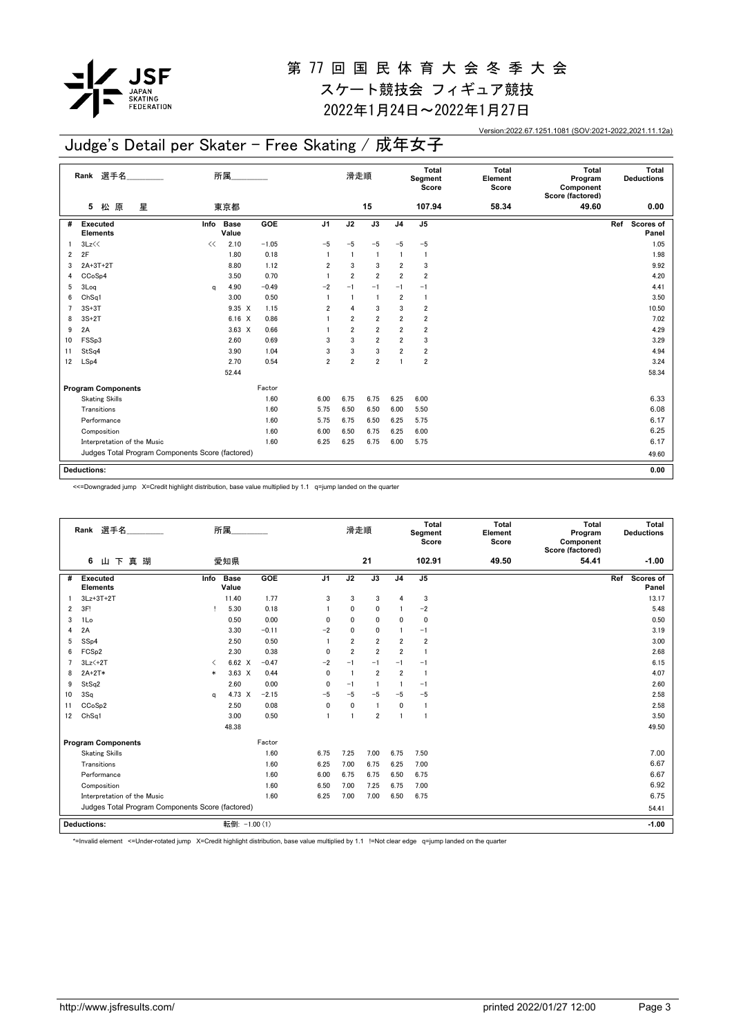

2022年1月24日~2022年1月27日

Version:2022.67.1251.1081 (SOV:2021-2022,2021.11.12a)

## Judge's Detail per Skater - Free Skating / 成年女子

|                | Rank 選手名                                         | 所属.  |                      |         | 滑走順            |                |                | Total<br>Segment<br>Score | <b>Total</b><br>Element<br>Score | <b>Total</b><br>Program<br>Component<br>Score (factored) | Total<br><b>Deductions</b> |                           |
|----------------|--------------------------------------------------|------|----------------------|---------|----------------|----------------|----------------|---------------------------|----------------------------------|----------------------------------------------------------|----------------------------|---------------------------|
|                | 原<br>星<br>松<br>5                                 |      | 東京都                  |         |                |                | 15             |                           | 107.94                           | 58.34                                                    | 49.60                      | 0.00                      |
| #              | <b>Executed</b><br><b>Elements</b>               | Info | <b>Base</b><br>Value | GOE     | J <sub>1</sub> | J2             | J3             | J <sub>4</sub>            | J5                               |                                                          |                            | Ref<br>Scores of<br>Panel |
|                | 3Lz<<                                            | <<   | 2.10                 | $-1.05$ | $-5$           | $-5$           | $-5$           | $-5$                      | $-5$                             |                                                          |                            | 1.05                      |
| 2              | 2F                                               |      | 1.80                 | 0.18    | $\overline{1}$ | $\mathbf{1}$   | $\mathbf{1}$   | $\mathbf{1}$              | $\mathbf{1}$                     |                                                          |                            | 1.98                      |
| 3              | 2A+3T+2T                                         |      | 8.80                 | 1.12    | 2              | 3              | 3              | 2                         | 3                                |                                                          |                            | 9.92                      |
| 4              | CCoSp4                                           |      | 3.50                 | 0.70    | $\mathbf{1}$   | $\overline{2}$ | $\overline{2}$ | $\overline{2}$            | $\overline{2}$                   |                                                          |                            | 4.20                      |
| 5              | 3Log                                             | a    | 4.90                 | $-0.49$ | $-2$           | $-1$           | $-1$           | $-1$                      | $-1$                             |                                                          |                            | 4.41                      |
| 6              | Ch <sub>Sq1</sub>                                |      | 3.00                 | 0.50    |                | $\mathbf{1}$   | $\mathbf{1}$   | $\overline{2}$            | $\mathbf{1}$                     |                                                          |                            | 3.50                      |
| $\overline{7}$ | $3S+3T$                                          |      | 9.35 X               | 1.15    | 2              | $\overline{4}$ | 3              | 3                         | 2                                |                                                          |                            | 10.50                     |
| 8              | $3S+2T$                                          |      | $6.16 \quad X$       | 0.86    |                | $\overline{2}$ | $\overline{2}$ | $\overline{2}$            | $\overline{\mathbf{2}}$          |                                                          |                            | 7.02                      |
| 9              | 2A                                               |      | $3.63 \times$        | 0.66    |                | $\overline{2}$ | $\overline{2}$ | $\overline{2}$            | $\overline{\mathbf{2}}$          |                                                          |                            | 4.29                      |
| 10             | FSSp3                                            |      | 2.60                 | 0.69    | 3              | 3              | $\overline{2}$ | $\overline{2}$            | 3                                |                                                          |                            | 3.29                      |
| 11             | StSq4                                            |      | 3.90                 | 1.04    | 3              | 3              | 3              | $\overline{2}$            | $\overline{2}$                   |                                                          |                            | 4.94                      |
| 12             | LSp4                                             |      | 2.70                 | 0.54    | $\overline{2}$ | $\overline{2}$ | $\overline{2}$ | 1                         | $\overline{\mathbf{2}}$          |                                                          |                            | 3.24                      |
|                |                                                  |      | 52.44                |         |                |                |                |                           |                                  |                                                          |                            | 58.34                     |
|                | <b>Program Components</b>                        |      |                      | Factor  |                |                |                |                           |                                  |                                                          |                            |                           |
|                | <b>Skating Skills</b>                            |      |                      | 1.60    | 6.00           | 6.75           | 6.75           | 6.25                      | 6.00                             |                                                          |                            | 6.33                      |
|                | Transitions                                      |      |                      | 1.60    | 5.75           | 6.50           | 6.50           | 6.00                      | 5.50                             |                                                          |                            | 6.08                      |
|                | Performance                                      |      |                      | 1.60    | 5.75           | 6.75           | 6.50           | 6.25                      | 5.75                             |                                                          |                            | 6.17                      |
|                | Composition                                      |      |                      | 1.60    | 6.00           | 6.50           | 6.75           | 6.25                      | 6.00                             |                                                          |                            | 6.25                      |
|                | Interpretation of the Music                      |      |                      | 1.60    | 6.25           | 6.25           | 6.75           | 6.00                      | 5.75                             |                                                          |                            | 6.17                      |
|                | Judges Total Program Components Score (factored) |      |                      |         |                |                |                |                           |                                  |                                                          |                            | 49.60                     |
|                | <b>Deductions:</b>                               |      |                      |         |                |                |                |                           |                                  |                                                          |                            | 0.00                      |
|                |                                                  |      |                      |         |                |                |                |                           |                                  |                                                          |                            |                           |

<<=Downgraded jump X=Credit highlight distribution, base value multiplied by 1.1 q=jump landed on the quarter

|                | Rank 選手名                                         |                               | 所属                   |         |                | 滑走順            |                |                | Total<br>Segment<br>Score | <b>Total</b><br>Element<br>Score | Total<br>Program<br>Component<br>Score (factored) | Total<br><b>Deductions</b> |
|----------------|--------------------------------------------------|-------------------------------|----------------------|---------|----------------|----------------|----------------|----------------|---------------------------|----------------------------------|---------------------------------------------------|----------------------------|
|                | 山下真瑚<br>6                                        |                               | 愛知県                  |         |                |                | 21             |                | 102.91                    | 49.50                            | 54.41                                             | $-1.00$                    |
| #              | Executed<br><b>Elements</b>                      | Info                          | <b>Base</b><br>Value | GOE     | J <sub>1</sub> | J2             | J3             | J <sub>4</sub> | J <sub>5</sub>            |                                  |                                                   | Scores of<br>Ref<br>Panel  |
|                | $3Lz+3T+2T$                                      |                               | 11.40                | 1.77    | 3              | 3              | 3              | $\overline{4}$ | 3                         |                                  |                                                   | 13.17                      |
| $\overline{2}$ | 3F!                                              | т                             | 5.30                 | 0.18    | -1             | $\mathbf{0}$   | 0              |                | $-2$                      |                                  |                                                   | 5.48                       |
| 3              | 1Lo                                              |                               | 0.50                 | 0.00    | $\mathbf{0}$   | $\mathbf{0}$   | 0              | $\mathbf{0}$   | $\mathbf 0$               |                                  |                                                   | 0.50                       |
| 4              | 2A                                               |                               | 3.30                 | $-0.11$ | $-2$           | $\Omega$       | 0              | $\mathbf{1}$   | $-1$                      |                                  |                                                   | 3.19                       |
| 5              | SSp4                                             |                               | 2.50                 | 0.50    | $\overline{1}$ | $\overline{2}$ | $\overline{2}$ | $\overline{2}$ | $\overline{2}$            |                                  |                                                   | 3.00                       |
| 6              | FCS <sub>p2</sub>                                |                               | 2.30                 | 0.38    | $\mathbf{0}$   | $\overline{2}$ | $\overline{2}$ | $\overline{2}$ | $\mathbf{1}$              |                                  |                                                   | 2.68                       |
| $\overline{7}$ | $3Lz<+2T$                                        | $\overline{\left( \right. }%$ | 6.62 X               | $-0.47$ | $-2$           | $-1$           | $-1$           | $-1$           | $-1$                      |                                  |                                                   | 6.15                       |
| 8              | $2A+2T*$                                         | $\ast$                        | $3.63 \times$        | 0.44    | 0              | $\overline{1}$ | $\overline{2}$ | $\overline{2}$ | $\mathbf{1}$              |                                  |                                                   | 4.07                       |
| 9              | StSq2                                            |                               | 2.60                 | 0.00    | 0              | $-1$           | $\overline{1}$ | $\overline{1}$ | $-1$                      |                                  |                                                   | 2.60                       |
| 10             | 3Sq                                              | a                             | 4.73 X               | $-2.15$ | $-5$           | $-5$           | $-5$           | $-5$           | $-5$                      |                                  |                                                   | 2.58                       |
| 11             | CCoSp2                                           |                               | 2.50                 | 0.08    | 0              | 0              | $\mathbf{1}$   | 0              | $\mathbf{1}$              |                                  |                                                   | 2.58                       |
| 12             | ChSq1                                            |                               | 3.00                 | 0.50    | $\overline{1}$ | $\overline{1}$ | $\overline{2}$ | $\overline{1}$ | $\mathbf{1}$              |                                  |                                                   | 3.50                       |
|                |                                                  |                               | 48.38                |         |                |                |                |                |                           |                                  |                                                   | 49.50                      |
|                | <b>Program Components</b>                        |                               |                      | Factor  |                |                |                |                |                           |                                  |                                                   |                            |
|                | <b>Skating Skills</b>                            |                               |                      | 1.60    | 6.75           | 7.25           | 7.00           | 6.75           | 7.50                      |                                  |                                                   | 7.00                       |
|                | Transitions                                      |                               |                      | 1.60    | 6.25           | 7.00           | 6.75           | 6.25           | 7.00                      |                                  |                                                   | 6.67                       |
|                | Performance                                      |                               |                      | 1.60    | 6.00           | 6.75           | 6.75           | 6.50           | 6.75                      |                                  |                                                   | 6.67                       |
|                | Composition                                      |                               |                      | 1.60    | 6.50           | 7.00           | 7.25           | 6.75           | 7.00                      |                                  |                                                   | 6.92                       |
|                | Interpretation of the Music                      |                               |                      | 1.60    | 6.25           | 7.00           | 7.00           | 6.50           | 6.75                      |                                  |                                                   | 6.75                       |
|                | Judges Total Program Components Score (factored) |                               |                      |         |                |                |                |                |                           |                                  |                                                   | 54.41                      |
|                | <b>Deductions:</b>                               | 転倒: -1.00 (1)                 |                      |         |                |                |                |                |                           | $-1.00$                          |                                                   |                            |

\*=Invalid element <=Under-rotated jump X=Credit highlight distribution, base value multiplied by 1.1 !=Not clear edge q=jump landed on the quarter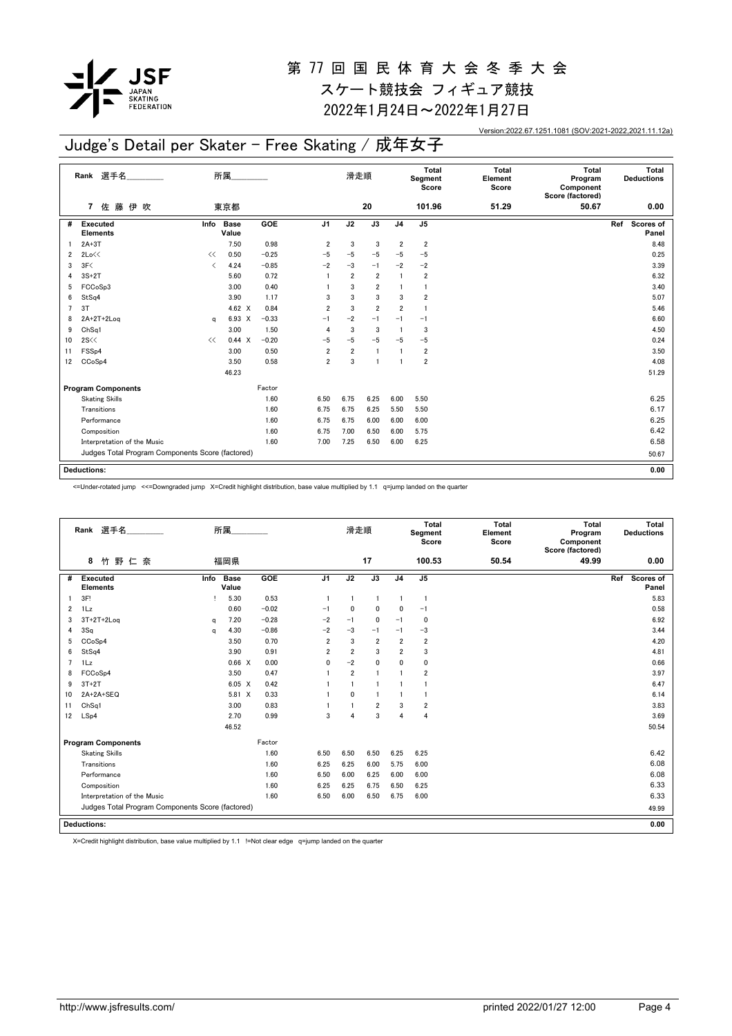

2022年1月24日~2022年1月27日

Version:2022.67.1251.1081 (SOV:2021-2022,2021.11.12a)

## Judge's Detail per Skater - Free Skating / 成年女子

|    | Rank 選手名                                         | 所属.                      |                      |         |                | 滑走順            |                |                | Total<br>Segment<br>Score | <b>Total</b><br>Element<br>Score | <b>Total</b><br>Program<br>Component<br>Score (factored) | Total<br><b>Deductions</b> |
|----|--------------------------------------------------|--------------------------|----------------------|---------|----------------|----------------|----------------|----------------|---------------------------|----------------------------------|----------------------------------------------------------|----------------------------|
|    | 佐 藤<br>伊吹<br>7                                   |                          | 東京都                  |         |                |                | 20             |                | 101.96                    | 51.29                            | 50.67                                                    | 0.00                       |
| #  | Executed<br><b>Elements</b>                      | Info                     | <b>Base</b><br>Value | GOE     | J <sub>1</sub> | J2             | J3             | J <sub>4</sub> | J5                        |                                  |                                                          | Ref<br>Scores of<br>Panel  |
|    | $2A+3T$                                          |                          | 7.50                 | 0.98    | 2              | 3              | 3              | $\overline{2}$ | $\overline{2}$            |                                  |                                                          | 8.48                       |
| 2  | 2Lo<<                                            | <<                       | 0.50                 | $-0.25$ | $-5$           | $-5$           | $-5$           | $-5$           | $-5$                      |                                  |                                                          | 0.25                       |
| 3  | 3F<                                              | $\overline{\phantom{a}}$ | 4.24                 | $-0.85$ | $-2$           | $-3$           | $-1$           | $-2$           | $-2$                      |                                  |                                                          | 3.39                       |
| 4  | $3S+2T$                                          |                          | 5.60                 | 0.72    | $\overline{1}$ | $\overline{2}$ | $\overline{2}$ | $\mathbf{1}$   | $\overline{2}$            |                                  |                                                          | 6.32                       |
| 5  | FCCoSp3                                          |                          | 3.00                 | 0.40    |                | 3              | 2              |                | 1                         |                                  |                                                          | 3.40                       |
| 6  | StSq4                                            |                          | 3.90                 | 1.17    | 3              | 3              | 3              | 3              | $\overline{2}$            |                                  |                                                          | 5.07                       |
| 7  | 3T                                               |                          | 4.62 $\times$        | 0.84    | $\overline{2}$ | 3              | $\overline{2}$ | $\overline{2}$ | $\overline{1}$            |                                  |                                                          | 5.46                       |
| 8  | $2A+2T+2Log$                                     | q                        | 6.93 X               | $-0.33$ | $-1$           | $-2$           | $-1$           | $-1$           | $-1$                      |                                  |                                                          | 6.60                       |
| 9  | Ch <sub>Sq1</sub>                                |                          | 3.00                 | 1.50    | $\overline{4}$ | 3              | 3              |                | 3                         |                                  |                                                          | 4.50                       |
| 10 | 2S<<                                             | <<                       | 0.44 X               | $-0.20$ | -5             | $-5$           | $-5$           | $-5$           | $-5$                      |                                  |                                                          | 0.24                       |
| 11 | FSS <sub>p4</sub>                                |                          | 3.00                 | 0.50    | $\overline{2}$ | $\overline{2}$ | $\overline{1}$ |                | $\overline{\mathbf{2}}$   |                                  |                                                          | 3.50                       |
| 12 | CCoSp4                                           |                          | 3.50                 | 0.58    | $\overline{2}$ | 3              | $\overline{1}$ |                | $\overline{2}$            |                                  |                                                          | 4.08                       |
|    |                                                  |                          | 46.23                |         |                |                |                |                |                           |                                  |                                                          | 51.29                      |
|    | <b>Program Components</b>                        |                          |                      | Factor  |                |                |                |                |                           |                                  |                                                          |                            |
|    | <b>Skating Skills</b>                            |                          |                      | 1.60    | 6.50           | 6.75           | 6.25           | 6.00           | 5.50                      |                                  |                                                          | 6.25                       |
|    | Transitions                                      |                          |                      | 1.60    | 6.75           | 6.75           | 6.25           | 5.50           | 5.50                      |                                  |                                                          | 6.17                       |
|    | Performance                                      |                          |                      | 1.60    | 6.75           | 6.75           | 6.00           | 6.00           | 6.00                      |                                  |                                                          | 6.25                       |
|    | Composition                                      |                          |                      | 1.60    | 6.75           | 7.00           | 6.50           | 6.00           | 5.75                      |                                  |                                                          | 6.42                       |
|    | Interpretation of the Music                      |                          |                      | 1.60    | 7.00           | 7.25           | 6.50           | 6.00           | 6.25                      |                                  |                                                          | 6.58                       |
|    | Judges Total Program Components Score (factored) |                          |                      |         |                |                |                |                |                           |                                  |                                                          | 50.67                      |
|    | <b>Deductions:</b>                               |                          |                      |         |                |                |                |                |                           |                                  |                                                          | 0.00                       |

<=Under-rotated jump <<=Downgraded jump X=Credit highlight distribution, base value multiplied by 1.1 q=jump landed on the quarter

|                    | Rank 選手名                                         |          | 所属                   |         |                | 滑走順            |                |                | <b>Total</b><br>Segment<br>Score | <b>Total</b><br>Element<br>Score | Total<br>Program<br>Component<br>Score (factored) | Total<br><b>Deductions</b> |
|--------------------|--------------------------------------------------|----------|----------------------|---------|----------------|----------------|----------------|----------------|----------------------------------|----------------------------------|---------------------------------------------------|----------------------------|
|                    | 竹野仁奈<br>8                                        |          | 福岡県                  |         |                |                | 17             |                | 100.53                           | 50.54                            | 49.99                                             | 0.00                       |
| #                  | Executed<br><b>Elements</b>                      | Info     | <b>Base</b><br>Value | GOE     | J <sub>1</sub> | J2             | J3             | J <sub>4</sub> | J5                               |                                  |                                                   | Scores of<br>Ref<br>Panel  |
|                    | 3F!                                              |          | 5.30                 | 0.53    | -1             | $\overline{1}$ | 1              | $\overline{1}$ | $\mathbf{1}$                     |                                  |                                                   | 5.83                       |
| $\overline{2}$     | 1Lz                                              |          | 0.60                 | $-0.02$ | $-1$           | $\mathbf{0}$   | 0              | $\mathbf{0}$   | $-1$                             |                                  |                                                   | 0.58                       |
| 3                  | $3T+2T+2Log$                                     | a        | 7.20                 | $-0.28$ | $-2$           | $-1$           | 0              | $-1$           | $\Omega$                         |                                  |                                                   | 6.92                       |
| 4                  | 3Sq                                              | $\alpha$ | 4.30                 | $-0.86$ | $-2$           | $-3$           | $-1$           | $-1$           | $-3$                             |                                  |                                                   | 3.44                       |
| 5                  | CCoSp4                                           |          | 3.50                 | 0.70    | $\overline{2}$ | 3              | $\overline{2}$ | $\overline{2}$ | $\overline{2}$                   |                                  |                                                   | 4.20                       |
| 6                  | StSq4                                            |          | 3.90                 | 0.91    | $\overline{2}$ | $\overline{2}$ | 3              | $\overline{2}$ | 3                                |                                  |                                                   | 4.81                       |
| $\overline{7}$     | 1Lz                                              |          | 0.66 X               | 0.00    | $\mathbf{0}$   | $-2$           | 0              | $\mathbf{0}$   | $\mathbf 0$                      |                                  |                                                   | 0.66                       |
| 8                  | FCCoSp4                                          |          | 3.50                 | 0.47    |                | $\overline{2}$ | $\mathbf{1}$   | $\mathbf{1}$   | $\overline{2}$                   |                                  |                                                   | 3.97                       |
| 9                  | $3T+2T$                                          |          | 6.05 X               | 0.42    |                | $\overline{1}$ | 1              | -1             |                                  |                                  |                                                   | 6.47                       |
| 10                 | 2A+2A+SEQ                                        |          | 5.81 X               | 0.33    |                | $\mathbf{0}$   | $\mathbf{1}$   |                | $\mathbf{1}$                     |                                  |                                                   | 6.14                       |
| 11                 | Ch <sub>Sq1</sub>                                |          | 3.00                 | 0.83    |                |                | $\overline{2}$ | 3              | $\overline{2}$                   |                                  |                                                   | 3.83                       |
| 12                 | LSp4                                             |          | 2.70                 | 0.99    | 3              | 4              | 3              | $\overline{4}$ | 4                                |                                  |                                                   | 3.69                       |
|                    |                                                  |          | 46.52                |         |                |                |                |                |                                  |                                  |                                                   | 50.54                      |
|                    | <b>Program Components</b>                        |          |                      | Factor  |                |                |                |                |                                  |                                  |                                                   |                            |
|                    | <b>Skating Skills</b>                            |          |                      | 1.60    | 6.50           | 6.50           | 6.50           | 6.25           | 6.25                             |                                  |                                                   | 6.42                       |
|                    | Transitions                                      |          |                      | 1.60    | 6.25           | 6.25           | 6.00           | 5.75           | 6.00                             |                                  |                                                   | 6.08                       |
|                    | Performance                                      |          |                      | 1.60    | 6.50           | 6.00           | 6.25           | 6.00           | 6.00                             |                                  |                                                   | 6.08                       |
|                    | Composition                                      |          |                      | 1.60    | 6.25           | 6.25           | 6.75           | 6.50           | 6.25                             |                                  |                                                   | 6.33                       |
|                    | Interpretation of the Music                      |          |                      | 1.60    | 6.50           | 6.00           | 6.50           | 6.75           | 6.00                             |                                  |                                                   | 6.33                       |
|                    | Judges Total Program Components Score (factored) |          |                      |         |                |                |                |                |                                  |                                  |                                                   | 49.99                      |
| <b>Deductions:</b> |                                                  |          |                      |         |                |                |                |                |                                  |                                  |                                                   | 0.00                       |

X=Credit highlight distribution, base value multiplied by 1.1 !=Not clear edge q=jump landed on the quarter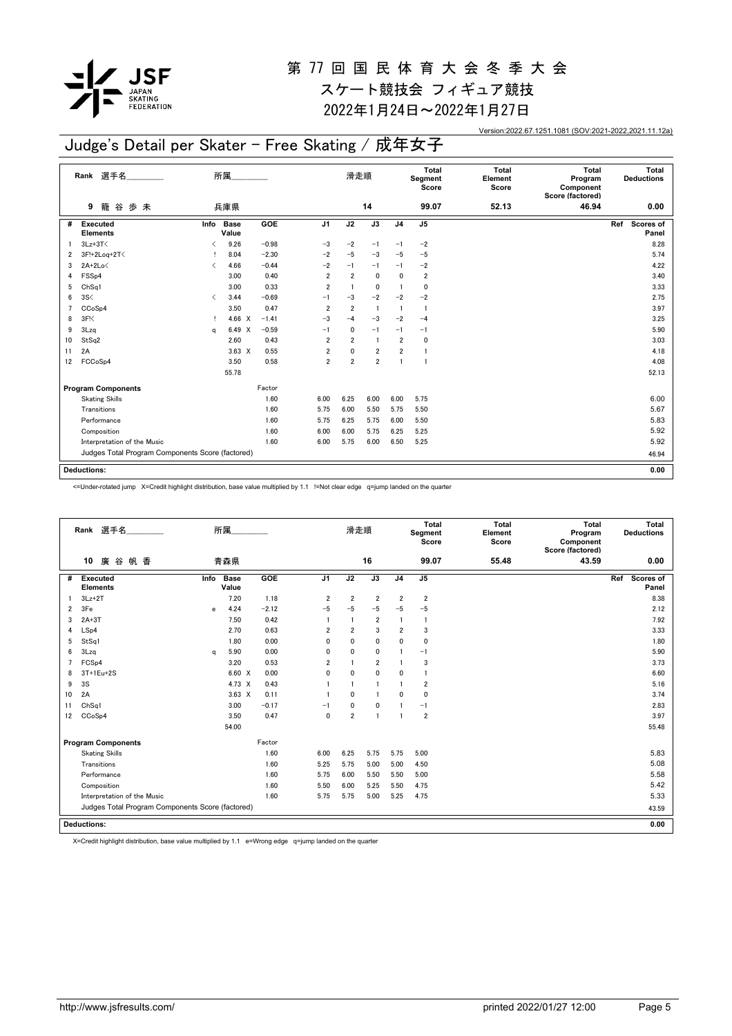

2022年1月24日~2022年1月27日

Version:2022.67.1251.1081 (SOV:2021-2022,2021.11.12a)

## Judge's Detail per Skater - Free Skating / 成年女子

|    | 選手名<br>Rank                                      | 所属                            |                      |         |                | 滑走順            |                |                | Total<br>Segment<br>Score | <b>Total</b><br>Element<br>Score | <b>Total</b><br>Program<br>Component | Total<br><b>Deductions</b> |
|----|--------------------------------------------------|-------------------------------|----------------------|---------|----------------|----------------|----------------|----------------|---------------------------|----------------------------------|--------------------------------------|----------------------------|
|    | 歩未<br>籠<br>谷<br>9                                |                               | 兵庫県                  |         |                |                | 14             |                | 99.07                     | 52.13                            | Score (factored)<br>46.94            | 0.00                       |
| #  | <b>Executed</b><br><b>Elements</b>               | Info                          | <b>Base</b><br>Value | GOE     | J <sub>1</sub> | J2             | J3             | J <sub>4</sub> | J <sub>5</sub>            |                                  |                                      | Ref<br>Scores of<br>Panel  |
|    | $3Lz + 3T$                                       | ≺                             | 9.26                 | $-0.98$ | $-3$           | $-2$           | $-1$           | $-1$           | $-2$                      |                                  |                                      | 8.28                       |
| 2  | 3F!+2Loq+2T<                                     |                               | 8.04                 | $-2.30$ | $-2$           | $-5$           | $-3$           | $-5$           | $-5$                      |                                  |                                      | 5.74                       |
| 3  | $2A+2Lo\leq$                                     | $\overline{\left( \right. }%$ | 4.66                 | $-0.44$ | $-2$           | $-1$           | $-1$           | $-1$           | $-2$                      |                                  |                                      | 4.22                       |
| 4  | FSS <sub>p4</sub>                                |                               | 3.00                 | 0.40    | $\overline{2}$ | $\overline{2}$ | 0              | $\mathbf{0}$   | $\overline{\mathbf{2}}$   |                                  |                                      | 3.40                       |
| 5  | Ch <sub>Sq1</sub>                                |                               | 3.00                 | 0.33    | $\overline{2}$ | $\overline{1}$ | 0              | $\overline{1}$ | 0                         |                                  |                                      | 3.33                       |
| 6  | 3S<                                              | $\overline{\left( \right. }%$ | 3.44                 | $-0.69$ | $-1$           | $-3$           | $-2$           | $-2$           | $-2$                      |                                  |                                      | 2.75                       |
| 7  | CCoSp4                                           |                               | 3.50                 | 0.47    | $\overline{2}$ | $\overline{2}$ | $\overline{1}$ | $\mathbf{1}$   | 1                         |                                  |                                      | 3.97                       |
| 8  | 3F <sub>1</sub>                                  | Ţ                             | 4.66 $\times$        | $-1.41$ | $-3$           | $-4$           | $-3$           | $-2$           | $-4$                      |                                  |                                      | 3.25                       |
| 9  | 3Lzq                                             | a                             | 6.49 X               | $-0.59$ | $-1$           | 0              | $-1$           | $-1$           | $-1$                      |                                  |                                      | 5.90                       |
| 10 | StSq2                                            |                               | 2.60                 | 0.43    | $\overline{2}$ | $\overline{2}$ | $\overline{1}$ | $\overline{2}$ | 0                         |                                  |                                      | 3.03                       |
| 11 | 2A                                               |                               | $3.63 \times$        | 0.55    | $\overline{2}$ | $\mathbf 0$    | $\overline{2}$ | $\overline{2}$ | $\mathbf{1}$              |                                  |                                      | 4.18                       |
| 12 | FCCoSp4                                          |                               | 3.50                 | 0.58    | $\overline{2}$ | $\overline{2}$ | $\overline{2}$ | $\overline{1}$ | $\overline{1}$            |                                  |                                      | 4.08                       |
|    |                                                  |                               | 55.78                |         |                |                |                |                |                           |                                  |                                      | 52.13                      |
|    | <b>Program Components</b>                        |                               |                      | Factor  |                |                |                |                |                           |                                  |                                      |                            |
|    | <b>Skating Skills</b>                            |                               |                      | 1.60    | 6.00           | 6.25           | 6.00           | 6.00           | 5.75                      |                                  |                                      | 6.00                       |
|    | Transitions                                      |                               |                      | 1.60    | 5.75           | 6.00           | 5.50           | 5.75           | 5.50                      |                                  |                                      | 5.67                       |
|    | Performance                                      |                               |                      | 1.60    | 5.75           | 6.25           | 5.75           | 6.00           | 5.50                      |                                  |                                      | 5.83                       |
|    | Composition                                      |                               |                      | 1.60    | 6.00           | 6.00           | 5.75           | 6.25           | 5.25                      |                                  |                                      | 5.92                       |
|    | Interpretation of the Music                      |                               |                      | 1.60    | 6.00           | 5.75           | 6.00           | 6.50           | 5.25                      |                                  |                                      | 5.92                       |
|    | Judges Total Program Components Score (factored) |                               |                      |         |                |                |                |                | 46.94                     |                                  |                                      |                            |
|    |                                                  |                               |                      |         |                |                |                |                |                           |                                  |                                      |                            |
|    | <b>Deductions:</b>                               |                               |                      |         |                |                |                |                |                           |                                  |                                      | 0.00                       |

<=Under-rotated jump X=Credit highlight distribution, base value multiplied by 1.1 !=Not clear edge q=jump landed on the quarter

|                | Rank 選手名                                         |      | 所属                   |         |                | 滑走順            |                |                | <b>Total</b><br>Segment<br>Score | <b>Total</b><br>Element<br>Score | Total<br>Program<br>Component<br>Score (factored) | Total<br><b>Deductions</b> |
|----------------|--------------------------------------------------|------|----------------------|---------|----------------|----------------|----------------|----------------|----------------------------------|----------------------------------|---------------------------------------------------|----------------------------|
|                | 廣谷帆香<br>10                                       |      | 青森県                  |         |                |                | 16             |                | 99.07                            | 55.48                            | 43.59                                             | 0.00                       |
| #              | Executed<br><b>Elements</b>                      | Info | <b>Base</b><br>Value | GOE     | J <sub>1</sub> | J2             | J3             | J <sub>4</sub> | J <sub>5</sub>                   |                                  |                                                   | Ref<br>Scores of<br>Panel  |
|                | $3Lz + 2T$                                       |      | 7.20                 | 1.18    | $\overline{2}$ | $\overline{2}$ | $\overline{2}$ | $\overline{2}$ | $\overline{2}$                   |                                  |                                                   | 8.38                       |
| $\overline{2}$ | 3Fe                                              | e    | 4.24                 | $-2.12$ | $-5$           | $-5$           | $-5$           | $-5$           | $-5$                             |                                  |                                                   | 2.12                       |
| 3              | $2A+3T$                                          |      | 7.50                 | 0.42    | $\overline{1}$ | $\overline{1}$ | $\overline{2}$ | $\overline{1}$ | $\mathbf{1}$                     |                                  |                                                   | 7.92                       |
| 4              | LSp4                                             |      | 2.70                 | 0.63    | $\overline{2}$ | $\overline{2}$ | 3              | $\overline{2}$ | 3                                |                                  |                                                   | 3.33                       |
| 5              | StSq1                                            |      | 1.80                 | 0.00    | 0              | $\mathbf{0}$   | 0              | $\mathbf{0}$   | 0                                |                                  |                                                   | 1.80                       |
| 6              | 3Lzq                                             | a    | 5.90                 | 0.00    | 0              | 0              | 0              |                | $-1$                             |                                  |                                                   | 5.90                       |
| $\overline{7}$ | FCSp4                                            |      | 3.20                 | 0.53    | $\overline{2}$ |                | $\overline{2}$ |                | 3                                |                                  |                                                   | 3.73                       |
| 8              | 3T+1Eu+2S                                        |      | 6.60 X               | 0.00    | 0              | $\mathbf{0}$   | $\mathbf{0}$   | 0              | $\overline{1}$                   |                                  |                                                   | 6.60                       |
| 9              | 3S                                               |      | 4.73 X               | 0.43    |                | -1             | 1              | $\mathbf{1}$   | $\overline{2}$                   |                                  |                                                   | 5.16                       |
| 10             | 2A                                               |      | $3.63 \times$        | 0.11    | 1              | $\mathbf{0}$   | $\mathbf{1}$   | $\mathbf{0}$   | $\Omega$                         |                                  |                                                   | 3.74                       |
| 11             | ChSq1                                            |      | 3.00                 | $-0.17$ | $-1$           | 0              | 0              |                | $-1$                             |                                  |                                                   | 2.83                       |
| 12             | CCoSp4                                           |      | 3.50                 | 0.47    | $\mathbf{0}$   | $\overline{2}$ | $\mathbf{1}$   | $\overline{1}$ | $\overline{2}$                   |                                  |                                                   | 3.97                       |
|                |                                                  |      | 54.00                |         |                |                |                |                |                                  |                                  |                                                   | 55.48                      |
|                | <b>Program Components</b>                        |      |                      | Factor  |                |                |                |                |                                  |                                  |                                                   |                            |
|                | <b>Skating Skills</b>                            |      |                      | 1.60    | 6.00           | 6.25           | 5.75           | 5.75           | 5.00                             |                                  |                                                   | 5.83                       |
|                | Transitions                                      |      |                      | 1.60    | 5.25           | 5.75           | 5.00           | 5.00           | 4.50                             |                                  |                                                   | 5.08                       |
|                | Performance                                      |      |                      | 1.60    | 5.75           | 6.00           | 5.50           | 5.50           | 5.00                             |                                  |                                                   | 5.58                       |
|                | Composition                                      |      |                      | 1.60    | 5.50           | 6.00           | 5.25           | 5.50           | 4.75                             |                                  |                                                   | 5.42                       |
|                | Interpretation of the Music                      |      |                      | 1.60    | 5.75           | 5.75           | 5.00           | 5.25           | 4.75                             |                                  |                                                   | 5.33                       |
|                | Judges Total Program Components Score (factored) |      |                      |         |                |                |                |                |                                  |                                  |                                                   | 43.59                      |
|                | <b>Deductions:</b>                               |      |                      |         |                |                |                |                |                                  |                                  |                                                   | 0.00                       |
|                |                                                  |      |                      |         |                |                |                |                |                                  |                                  |                                                   |                            |

X=Credit highlight distribution, base value multiplied by 1.1 e=Wrong edge q=jump landed on the quarter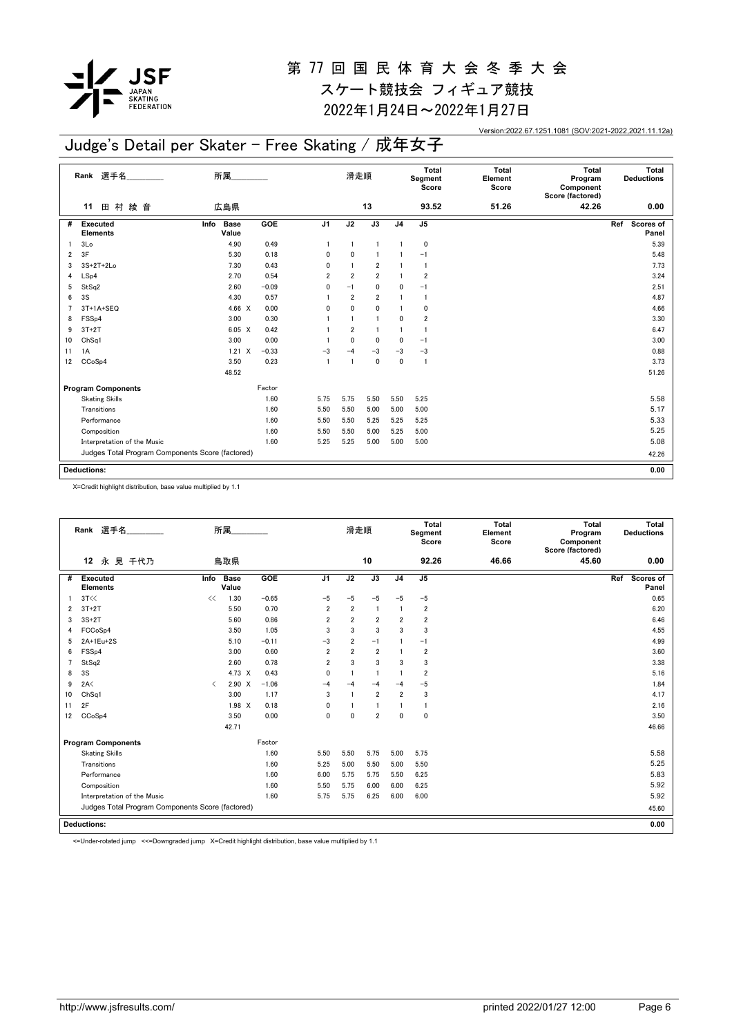

2022年1月24日~2022年1月27日

Version:2022.67.1251.1081 (SOV:2021-2022,2021.11.12a)

## Judge's Detail per Skater - Free Skating / 成年女子

|    | Rank 選手名                                         | 所属                                |         |                | 滑走順            |                 |                | Total<br>Segment<br>Score | <b>Total</b><br>Element<br>Score | <b>Total</b><br>Program<br>Component<br>Score (factored) | Total<br><b>Deductions</b> |
|----|--------------------------------------------------|-----------------------------------|---------|----------------|----------------|-----------------|----------------|---------------------------|----------------------------------|----------------------------------------------------------|----------------------------|
|    | 田 村<br>綾 音<br>11                                 | 広島県                               |         |                |                | 13              |                | 93.52                     | 51.26                            | 42.26                                                    | 0.00                       |
| #  | <b>Executed</b><br><b>Elements</b>               | Info<br><b>Base</b><br>Value      | GOE     | J <sub>1</sub> | J2             | $\overline{J3}$ | J <sub>4</sub> | J5                        |                                  |                                                          | Ref<br>Scores of<br>Panel  |
|    | 3 <sub>Lo</sub>                                  | 4.90                              | 0.49    | $\mathbf{1}$   | $\mathbf{1}$   | $\overline{1}$  |                | 0                         |                                  |                                                          | 5.39                       |
| 2  | 3F                                               | 5.30                              | 0.18    | 0              | 0              |                 |                | $-1$                      |                                  |                                                          | 5.48                       |
| 3  | $3S+2T+2Lo$                                      | 7.30                              | 0.43    | 0              |                | $\overline{2}$  |                | $\mathbf{1}$              |                                  |                                                          | 7.73                       |
| 4  | LSp4                                             | 2.70                              | 0.54    | $\overline{2}$ | $\overline{2}$ | $\overline{2}$  |                | $\overline{2}$            |                                  |                                                          | 3.24                       |
| 5  | StSq2                                            | 2.60                              | $-0.09$ | 0              | $-1$           | $\mathbf 0$     | 0              | $-1$                      |                                  |                                                          | 2.51                       |
| 6  | 3S                                               | 4.30                              | 0.57    |                | $\overline{2}$ | $\overline{2}$  |                | -1                        |                                  |                                                          | 4.87                       |
|    | 3T+1A+SEQ                                        | 4.66 $X$                          | 0.00    | 0              | 0              | 0               |                | 0                         |                                  |                                                          | 4.66                       |
| 8  | FSS <sub>p4</sub>                                | 3.00                              | 0.30    |                |                | $\overline{1}$  | 0              | $\overline{\mathbf{2}}$   |                                  |                                                          | 3.30                       |
| 9  | $3T+2T$                                          | $6.05 \quad X$                    | 0.42    |                | $\overline{2}$ | $\blacksquare$  |                | $\mathbf{1}$              |                                  |                                                          | 6.47                       |
| 10 | Ch <sub>Sq1</sub>                                | 3.00                              | 0.00    |                | 0              | 0               | 0              | $-1$                      |                                  |                                                          | 3.00                       |
| 11 | 1A                                               | $\boldsymbol{\mathsf{X}}$<br>1.21 | $-0.33$ | $-3$           | $-4$           | $-3$            | $-3$           | $-3$                      |                                  |                                                          | 0.88                       |
| 12 | CCoSp4                                           | 3.50                              | 0.23    | $\overline{1}$ | $\mathbf{1}$   | $\mathbf 0$     | $\mathbf{0}$   | 1                         |                                  |                                                          | 3.73                       |
|    |                                                  | 48.52                             |         |                |                |                 |                |                           |                                  |                                                          | 51.26                      |
|    | <b>Program Components</b>                        |                                   | Factor  |                |                |                 |                |                           |                                  |                                                          |                            |
|    | <b>Skating Skills</b>                            |                                   | 1.60    | 5.75           | 5.75           | 5.50            | 5.50           | 5.25                      |                                  |                                                          | 5.58                       |
|    | Transitions                                      |                                   | 1.60    | 5.50           | 5.50           | 5.00            | 5.00           | 5.00                      |                                  |                                                          | 5.17                       |
|    | Performance                                      |                                   | 1.60    | 5.50           | 5.50           | 5.25            | 5.25           | 5.25                      |                                  |                                                          | 5.33                       |
|    | Composition                                      |                                   | 1.60    | 5.50           | 5.50           | 5.00            | 5.25           | 5.00                      |                                  |                                                          | 5.25                       |
|    | Interpretation of the Music                      |                                   | 1.60    | 5.25           | 5.25           | 5.00            | 5.00           | 5.00                      |                                  |                                                          | 5.08                       |
|    | Judges Total Program Components Score (factored) |                                   |         |                |                |                 |                |                           |                                  |                                                          | 42.26                      |
|    | <b>Deductions:</b>                               |                                   |         |                |                |                 |                |                           |                                  |                                                          | 0.00                       |

X=Credit highlight distribution, base value multiplied by 1.1

|                | Rank 選手名                                         |           | 所属                   |         |                | 滑走順            |                |                | <b>Total</b><br>Segment<br>Score | <b>Total</b><br>Element<br>Score | Total<br>Program<br>Component<br>Score (factored) | Total<br><b>Deductions</b> |
|----------------|--------------------------------------------------|-----------|----------------------|---------|----------------|----------------|----------------|----------------|----------------------------------|----------------------------------|---------------------------------------------------|----------------------------|
|                | 永 見 千代乃<br>12                                    |           | 鳥取県                  |         |                |                | 10             |                | 92.26                            | 46.66                            | 45.60                                             | 0.00                       |
| #              | Executed<br><b>Elements</b>                      | Info      | <b>Base</b><br>Value | GOE     | J <sub>1</sub> | J2             | J3             | J <sub>4</sub> | J <sub>5</sub>                   |                                  |                                                   | Ref<br>Scores of<br>Panel  |
|                | 3T<<                                             | <<        | 1.30                 | $-0.65$ | $-5$           | $-5$           | $-5$           | $-5$           | $-5$                             |                                  |                                                   | 0.65                       |
| 2              | $3T+2T$                                          |           | 5.50                 | 0.70    | $\overline{2}$ | $\overline{2}$ | $\overline{1}$ | $\mathbf{1}$   | $\overline{2}$                   |                                  |                                                   | 6.20                       |
| 3              | $3S+2T$                                          |           | 5.60                 | 0.86    | 2              | $\overline{2}$ | $\overline{2}$ | $\overline{2}$ | $\overline{2}$                   |                                  |                                                   | 6.46                       |
| 4              | FCCoSp4                                          |           | 3.50                 | 1.05    | 3              | 3              | 3              | 3              | 3                                |                                  |                                                   | 4.55                       |
| 5              | 2A+1Eu+2S                                        |           | 5.10                 | $-0.11$ | $-3$           | $\overline{2}$ | $-1$           |                | $-1$                             |                                  |                                                   | 4.99                       |
| 6              | FSS <sub>p4</sub>                                |           | 3.00                 | 0.60    | 2              | $\overline{2}$ | $\overline{2}$ |                | $\overline{2}$                   |                                  |                                                   | 3.60                       |
| $\overline{7}$ | StSq2                                            |           | 2.60                 | 0.78    | $\overline{2}$ | 3              | 3              | 3              | 3                                |                                  |                                                   | 3.38                       |
| 8              | 3S                                               |           | 4.73 X               | 0.43    | $\mathbf{0}$   |                | $\blacksquare$ |                | $\overline{2}$                   |                                  |                                                   | 5.16                       |
| 9              | 2A<                                              | $\langle$ | $2.90 \times$        | $-1.06$ | $-4$           | $-4$           | $-4$           | $-4$           | $-5$                             |                                  |                                                   | 1.84                       |
| 10             | Ch <sub>Sq1</sub>                                |           | 3.00                 | 1.17    | 3              | $\overline{1}$ | $\overline{2}$ | $\overline{2}$ | 3                                |                                  |                                                   | 4.17                       |
| 11             | 2F                                               |           | $1.98$ X             | 0.18    | $\mathbf{0}$   |                | 1              |                | -1                               |                                  |                                                   | 2.16                       |
| 12             | CCoSp4                                           |           | 3.50                 | 0.00    | $\mathbf{0}$   | $\mathbf{0}$   | $\overline{2}$ | $\mathbf{0}$   | $\mathbf 0$                      |                                  |                                                   | 3.50                       |
|                |                                                  |           | 42.71                |         |                |                |                |                |                                  |                                  |                                                   | 46.66                      |
|                | <b>Program Components</b>                        |           |                      | Factor  |                |                |                |                |                                  |                                  |                                                   |                            |
|                | <b>Skating Skills</b>                            |           |                      | 1.60    | 5.50           | 5.50           | 5.75           | 5.00           | 5.75                             |                                  |                                                   | 5.58                       |
|                | Transitions                                      |           |                      | 1.60    | 5.25           | 5.00           | 5.50           | 5.00           | 5.50                             |                                  |                                                   | 5.25                       |
|                | Performance                                      |           |                      | 1.60    | 6.00           | 5.75           | 5.75           | 5.50           | 6.25                             |                                  |                                                   | 5.83                       |
|                | Composition                                      |           |                      | 1.60    | 5.50           | 5.75           | 6.00           | 6.00           | 6.25                             |                                  |                                                   | 5.92                       |
|                | Interpretation of the Music                      |           |                      | 1.60    | 5.75           | 5.75           | 6.25           | 6.00           | 6.00                             |                                  |                                                   | 5.92                       |
|                | Judges Total Program Components Score (factored) |           |                      |         |                |                |                |                |                                  |                                  |                                                   | 45.60                      |
|                | <b>Deductions:</b>                               |           |                      |         |                |                |                |                | 0.00                             |                                  |                                                   |                            |
|                |                                                  |           |                      |         |                |                |                |                |                                  |                                  |                                                   |                            |

<=Under-rotated jump <<=Downgraded jump X=Credit highlight distribution, base value multiplied by 1.1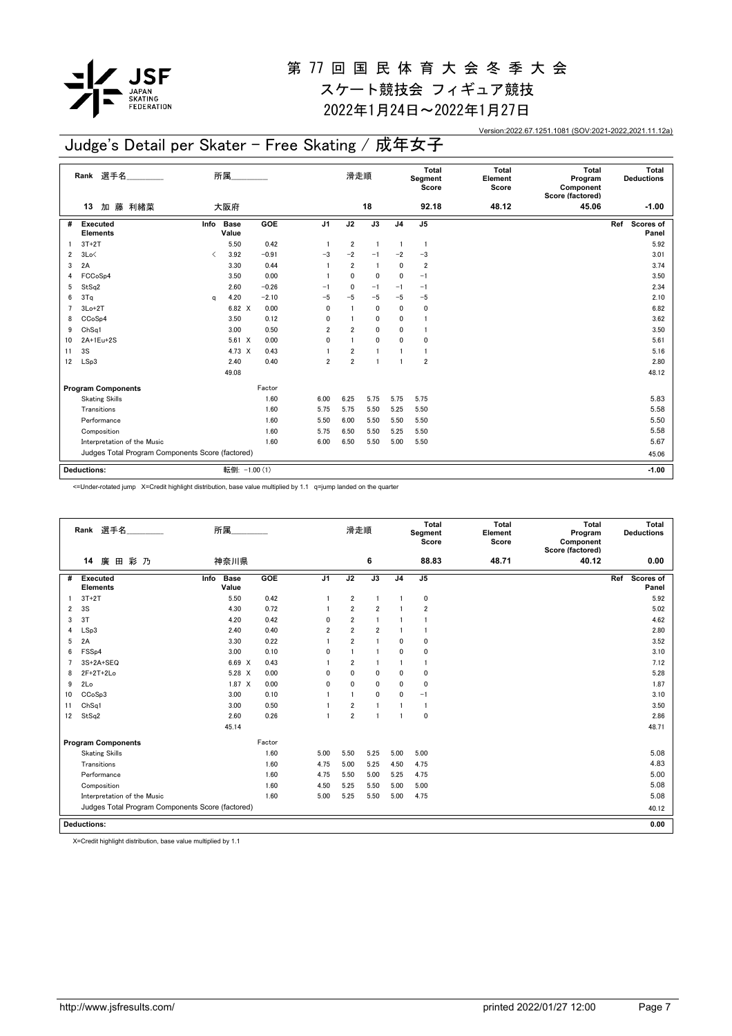

2022年1月24日~2022年1月27日

Version:2022.67.1251.1081 (SOV:2021-2022,2021.11.12a)

## Judge's Detail per Skater - Free Skating / 成年女子

|    | Rank 選手名                                         |                                          | 所属                   |            |                | 滑走順            |                 |                | Total<br>Segment<br>Score | <b>Total</b><br>Element<br>Score | <b>Total</b><br>Program<br>Component<br>Score (factored) | Total<br><b>Deductions</b> |
|----|--------------------------------------------------|------------------------------------------|----------------------|------------|----------------|----------------|-----------------|----------------|---------------------------|----------------------------------|----------------------------------------------------------|----------------------------|
|    | 藤 利緒菜<br>加<br>13                                 |                                          | 大阪府                  |            |                |                | 18              |                | 92.18                     | 48.12                            | 45.06                                                    | $-1.00$                    |
| #  | <b>Executed</b><br><b>Elements</b>               | Info                                     | <b>Base</b><br>Value | <b>GOE</b> | J <sub>1</sub> | J2             | $\overline{J3}$ | J <sub>4</sub> | J <sub>5</sub>            |                                  |                                                          | Ref<br>Scores of<br>Panel  |
|    | $3T+2T$                                          |                                          | 5.50                 | 0.42       | $\overline{1}$ | $\overline{2}$ | $\overline{1}$  | -1             | $\mathbf{1}$              |                                  |                                                          | 5.92                       |
| 2  | 3Lo<                                             | $\overline{\left\langle \right\rangle }$ | 3.92                 | $-0.91$    | -3             | $-2$           | $-1$            | $-2$           | $-3$                      |                                  |                                                          | 3.01                       |
| 3  | 2A                                               |                                          | 3.30                 | 0.44       |                | $\overline{2}$ | $\overline{1}$  | 0              | $\overline{\mathbf{2}}$   |                                  |                                                          | 3.74                       |
| 4  | FCCoSp4                                          |                                          | 3.50                 | 0.00       |                | 0              | 0               | 0              | $-1$                      |                                  |                                                          | 3.50                       |
| 5  | StSq2                                            |                                          | 2.60                 | $-0.26$    | $-1$           | 0              | $-1$            | $-1$           | $-1$                      |                                  |                                                          | 2.34                       |
| 6  | 3Tq                                              | q                                        | 4.20                 | $-2.10$    | $-5$           | $-5$           | $-5$            | $-5$           | $-5$                      |                                  |                                                          | 2.10                       |
|    | $3Lo+2T$                                         |                                          | 6.82 X               | 0.00       | $\mathbf 0$    |                | $\mathbf 0$     | 0              | 0                         |                                  |                                                          | 6.82                       |
| 8  | CCoSp4                                           |                                          | 3.50                 | 0.12       | $\mathbf{0}$   |                | $\mathbf{0}$    | 0              | -1                        |                                  |                                                          | 3.62                       |
| 9  | Ch <sub>Sq1</sub>                                |                                          | 3.00                 | 0.50       | $\overline{2}$ | $\overline{2}$ | $\mathbf 0$     | 0              | -1                        |                                  |                                                          | 3.50                       |
| 10 | 2A+1Eu+2S                                        |                                          | $5.61 \t X$          | 0.00       | $\mathbf{0}$   | $\overline{1}$ | $\mathbf{0}$    | 0              | 0                         |                                  |                                                          | 5.61                       |
| 11 | 3S                                               |                                          | 4.73 X               | 0.43       |                | $\overline{2}$ | $\mathbf{1}$    |                | 1                         |                                  |                                                          | 5.16                       |
| 12 | LSp3                                             |                                          | 2.40                 | 0.40       | $\overline{2}$ | $\overline{2}$ | $\blacksquare$  | -1             | $\overline{2}$            |                                  |                                                          | 2.80                       |
|    |                                                  |                                          | 49.08                |            |                |                |                 |                |                           |                                  |                                                          | 48.12                      |
|    | <b>Program Components</b>                        |                                          |                      | Factor     |                |                |                 |                |                           |                                  |                                                          |                            |
|    | <b>Skating Skills</b>                            |                                          |                      | 1.60       | 6.00           | 6.25           | 5.75            | 5.75           | 5.75                      |                                  |                                                          | 5.83                       |
|    | Transitions                                      |                                          |                      | 1.60       | 5.75           | 5.75           | 5.50            | 5.25           | 5.50                      |                                  |                                                          | 5.58                       |
|    | Performance                                      |                                          |                      | 1.60       | 5.50           | 6.00           | 5.50            | 5.50           | 5.50                      |                                  |                                                          | 5.50                       |
|    | Composition                                      |                                          |                      | 1.60       | 5.75           | 6.50           | 5.50            | 5.25           | 5.50                      |                                  |                                                          | 5.58                       |
|    | Interpretation of the Music                      |                                          |                      | 1.60       | 6.00           | 6.50           | 5.50            | 5.00           | 5.50                      |                                  |                                                          | 5.67                       |
|    | Judges Total Program Components Score (factored) |                                          |                      |            |                |                |                 |                |                           |                                  |                                                          | 45.06                      |
|    |                                                  |                                          |                      |            |                |                |                 |                |                           |                                  |                                                          |                            |
|    | <b>Deductions:</b>                               |                                          | 転倒: -1.00 (1)        |            |                |                |                 |                |                           |                                  |                                                          | $-1.00$                    |

<=Under-rotated jump X=Credit highlight distribution, base value multiplied by 1.1 q=jump landed on the quarter

|                                        | Rank 選手名                                         | 所属                   |        |                | 滑走順            |                |                | Total<br>Segment<br>Score | <b>Total</b><br>Element<br>Score | <b>Total</b><br>Program<br>Component<br>Score (factored) |     | Total<br><b>Deductions</b> |
|----------------------------------------|--------------------------------------------------|----------------------|--------|----------------|----------------|----------------|----------------|---------------------------|----------------------------------|----------------------------------------------------------|-----|----------------------------|
| 廣<br>14                                | 田彩乃                                              | 神奈川県                 |        |                |                | 6              |                | 88.83                     | 48.71                            | 40.12                                                    |     | 0.00                       |
| Executed<br>#<br><b>Elements</b>       | Info                                             | <b>Base</b><br>Value | GOE    | J <sub>1</sub> | J2             | J3             | J <sub>4</sub> | $\mathsf{J}5$             |                                  |                                                          | Ref | <b>Scores of</b><br>Panel  |
| $3T+2T$                                |                                                  | 5.50                 | 0.42   | 1              | $\overline{2}$ | 1              |                | $\pmb{0}$                 |                                  |                                                          |     | 5.92                       |
| 3S<br>$\overline{2}$                   |                                                  | 4.30                 | 0.72   | 1              | $\overline{2}$ | $\overline{2}$ |                | $\overline{2}$            |                                  |                                                          |     | 5.02                       |
| 3T<br>3                                |                                                  | 4.20                 | 0.42   | 0              | $\overline{2}$ | $\mathbf{1}$   |                | -1                        |                                  |                                                          |     | 4.62                       |
| LSp3<br>4                              |                                                  | 2.40                 | 0.40   | 2              | $\overline{2}$ | $\overline{2}$ |                | $\mathbf{1}$              |                                  |                                                          |     | 2.80                       |
| 2A<br>5                                |                                                  | 3.30                 | 0.22   | 1              | $\overline{2}$ | $\mathbf{1}$   | $\mathbf{0}$   | 0                         |                                  |                                                          |     | 3.52                       |
| FSS <sub>p4</sub><br>6                 |                                                  | 3.00                 | 0.10   | 0              | -1             | $\mathbf{1}$   | 0              | 0                         |                                  |                                                          |     | 3.10                       |
| $3S+2A+SEQ$<br>$\overline{7}$          |                                                  | 6.69 X               | 0.43   |                | $\overline{2}$ | $\mathbf{1}$   |                | $\mathbf{1}$              |                                  |                                                          |     | 7.12                       |
| $2F+2T+2Lo$<br>8                       |                                                  | 5.28 X               | 0.00   | 0              | $\Omega$       | 0              | 0              | 0                         |                                  |                                                          |     | 5.28                       |
| 2Lo<br>9                               |                                                  | $1.87 \times$        | 0.00   | 0              | 0              | 0              | 0              | 0                         |                                  |                                                          |     | 1.87                       |
| CC <sub>o</sub> S <sub>p</sub> 3<br>10 |                                                  | 3.00                 | 0.10   | 1              | -1             | $\mathbf 0$    | $\mathbf{0}$   | $-1$                      |                                  |                                                          |     | 3.10                       |
| Ch <sub>Sq1</sub><br>11                |                                                  | 3.00                 | 0.50   |                | $\overline{2}$ |                |                | $\mathbf{1}$              |                                  |                                                          |     | 3.50                       |
| StSq2<br>12                            |                                                  | 2.60                 | 0.26   | 1              | $\overline{2}$ | 1              |                | 0                         |                                  |                                                          |     | 2.86                       |
|                                        |                                                  | 45.14                |        |                |                |                |                |                           |                                  |                                                          |     | 48.71                      |
| <b>Program Components</b>              |                                                  |                      | Factor |                |                |                |                |                           |                                  |                                                          |     |                            |
| <b>Skating Skills</b>                  |                                                  |                      | 1.60   | 5.00           | 5.50           | 5.25           | 5.00           | 5.00                      |                                  |                                                          |     | 5.08                       |
| Transitions                            |                                                  |                      | 1.60   | 4.75           | 5.00           | 5.25           | 4.50           | 4.75                      |                                  |                                                          |     | 4.83                       |
| Performance                            |                                                  |                      | 1.60   | 4.75           | 5.50           | 5.00           | 5.25           | 4.75                      |                                  |                                                          |     | 5.00                       |
| Composition                            |                                                  |                      | 1.60   | 4.50           | 5.25           | 5.50           | 5.00           | 5.00                      |                                  |                                                          |     | 5.08                       |
|                                        | Interpretation of the Music                      |                      | 1.60   | 5.00           | 5.25           | 5.50           | 5.00           | 4.75                      |                                  |                                                          |     | 5.08                       |
|                                        | Judges Total Program Components Score (factored) |                      |        |                |                |                |                |                           |                                  |                                                          |     | 40.12                      |
| <b>Deductions:</b>                     |                                                  |                      |        |                |                |                |                |                           |                                  |                                                          |     | 0.00                       |

X=Credit highlight distribution, base value multiplied by 1.1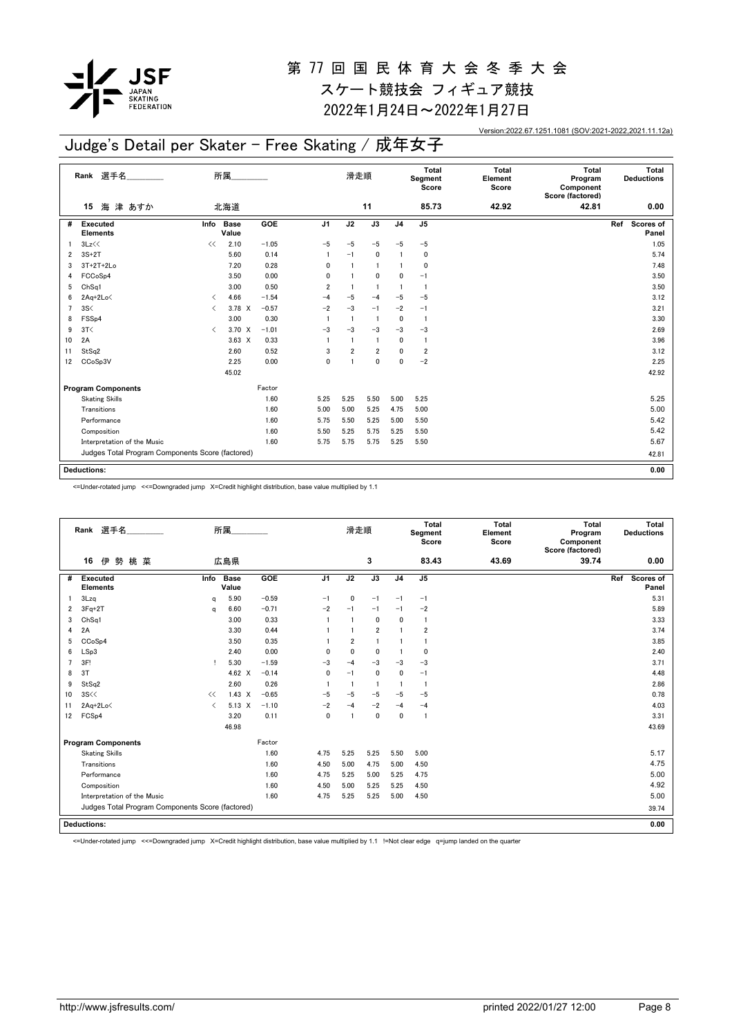

2022年1月24日~2022年1月27日

Version:2022.67.1251.1081 (SOV:2021-2022,2021.11.12a)

## Judge's Detail per Skater - Free Skating / 成年女子

|                | Rank 選手名                                         |                                          | 所属                   |         |                | 滑走順            |                 |                | Total<br>Segment<br>Score | <b>Total</b><br>Element<br>Score | <b>Total</b><br>Program<br>Component<br>Score (factored) | Total<br><b>Deductions</b> |
|----------------|--------------------------------------------------|------------------------------------------|----------------------|---------|----------------|----------------|-----------------|----------------|---------------------------|----------------------------------|----------------------------------------------------------|----------------------------|
|                | 海津 あすか<br>15                                     |                                          | 北海道                  |         |                |                | 11              |                | 85.73                     | 42.92                            | 42.81                                                    | 0.00                       |
| #              | <b>Executed</b><br><b>Elements</b>               | Info                                     | <b>Base</b><br>Value | GOE     | J <sub>1</sub> | J2             | $\overline{J3}$ | J <sub>4</sub> | J5                        |                                  |                                                          | Scores of<br>Ref<br>Panel  |
|                | 3Lz<<                                            | <<                                       | 2.10                 | $-1.05$ | $-5$           | $-5$           | $-5$            | $-5$           | $-5$                      |                                  |                                                          | 1.05                       |
| 2              | $3S+2T$                                          |                                          | 5.60                 | 0.14    |                | $-1$           | $\pmb{0}$       | $\mathbf{1}$   | 0                         |                                  |                                                          | 5.74                       |
| 3              | $3T+2T+2Lo$                                      |                                          | 7.20                 | 0.28    | 0              | $\overline{1}$ | $\overline{1}$  | $\mathbf{1}$   | 0                         |                                  |                                                          | 7.48                       |
| 4              | FCCoSp4                                          |                                          | 3.50                 | 0.00    | 0              | $\mathbf{1}$   | $\mathbf 0$     | 0              | $-1$                      |                                  |                                                          | 3.50                       |
| 5              | ChSq1                                            |                                          | 3.00                 | 0.50    | $\overline{2}$ | $\overline{1}$ | $\overline{1}$  | $\overline{1}$ | $\overline{1}$            |                                  |                                                          | 3.50                       |
| 6              | 2Aq+2Lo<                                         | $\overline{\phantom{a}}$                 | 4.66                 | $-1.54$ | $-4$           | $-5$           | $-4$            | $-5$           | $-5$                      |                                  |                                                          | 3.12                       |
| $\overline{7}$ | 3S<                                              | $\overline{\left\langle \right\rangle }$ | $3.78 \times$        | $-0.57$ | $-2$           | $-3$           | $-1$            | $-2$           | $-1$                      |                                  |                                                          | 3.21                       |
| 8              | FSS <sub>p4</sub>                                |                                          | 3.00                 | 0.30    | $\mathbf{1}$   | $\overline{1}$ | $\overline{1}$  | 0              | $\overline{1}$            |                                  |                                                          | 3.30                       |
| 9              | 3T<                                              | $\overline{\left\langle \right\rangle }$ | 3.70 X               | $-1.01$ | $-3$           | $-3$           | $-3$            | $-3$           | $-3$                      |                                  |                                                          | 2.69                       |
| 10             | 2A                                               |                                          | $3.63 \times$        | 0.33    | $\mathbf{1}$   | $\mathbf{1}$   | $\overline{1}$  | 0              | $\overline{1}$            |                                  |                                                          | 3.96                       |
| 11             | StSq2                                            |                                          | 2.60                 | 0.52    | 3              | $\overline{2}$ | $\overline{2}$  | $\mathbf{0}$   | $\overline{\mathbf{2}}$   |                                  |                                                          | 3.12                       |
| 12             | CCoSp3V                                          |                                          | 2.25                 | 0.00    | 0              | $\mathbf{1}$   | $\mathbf{0}$    | $\mathbf{0}$   | $-2$                      |                                  |                                                          | 2.25                       |
|                |                                                  |                                          | 45.02                |         |                |                |                 |                |                           |                                  |                                                          | 42.92                      |
|                | <b>Program Components</b>                        |                                          |                      | Factor  |                |                |                 |                |                           |                                  |                                                          |                            |
|                | <b>Skating Skills</b>                            |                                          |                      | 1.60    | 5.25           | 5.25           | 5.50            | 5.00           | 5.25                      |                                  |                                                          | 5.25                       |
|                | Transitions                                      |                                          |                      | 1.60    | 5.00           | 5.00           | 5.25            | 4.75           | 5.00                      |                                  |                                                          | 5.00                       |
|                | Performance                                      |                                          |                      | 1.60    | 5.75           | 5.50           | 5.25            | 5.00           | 5.50                      |                                  |                                                          | 5.42                       |
|                | Composition                                      |                                          |                      | 1.60    | 5.50           | 5.25           | 5.75            | 5.25           | 5.50                      |                                  |                                                          | 5.42                       |
|                | Interpretation of the Music                      |                                          |                      | 1.60    | 5.75           | 5.75           | 5.75            | 5.25           | 5.50                      |                                  |                                                          | 5.67                       |
|                | Judges Total Program Components Score (factored) |                                          |                      |         |                |                |                 |                |                           |                                  |                                                          | 42.81                      |
|                |                                                  |                                          |                      |         |                |                |                 |                |                           |                                  |                                                          |                            |
|                | <b>Deductions:</b>                               |                                          |                      |         |                |                |                 |                |                           |                                  |                                                          | 0.00                       |

<=Under-rotated jump <<=Downgraded jump X=Credit highlight distribution, base value multiplied by 1.1

|                | Rank 選手名                                         |           | 所属                   |         |                | 滑走順            |                |                | <b>Total</b><br>Segment<br>Score | <b>Total</b><br>Element<br>Score | Total<br>Program<br>Component<br>Score (factored) |     | Total<br><b>Deductions</b> |
|----------------|--------------------------------------------------|-----------|----------------------|---------|----------------|----------------|----------------|----------------|----------------------------------|----------------------------------|---------------------------------------------------|-----|----------------------------|
|                | 伊勢<br>桃 菜<br>16                                  |           | 広島県                  |         |                |                | 3              |                | 83.43                            | 43.69                            | 39.74                                             |     | 0.00                       |
| #              | <b>Executed</b><br><b>Elements</b>               | Info      | <b>Base</b><br>Value | GOE     | J <sub>1</sub> | J2             | J3             | J <sub>4</sub> | J <sub>5</sub>                   |                                  |                                                   | Ref | <b>Scores of</b><br>Panel  |
|                | 3Lzq                                             | $\Omega$  | 5.90                 | $-0.59$ | $-1$           | 0              | $-1$           | $-1$           | $-1$                             |                                  |                                                   |     | 5.31                       |
| $\overline{2}$ | $3Fq+2T$                                         | a         | 6.60                 | $-0.71$ | $-2$           | $-1$           | $-1$           | $-1$           | $-2$                             |                                  |                                                   |     | 5.89                       |
| 3              | Ch <sub>Sq1</sub>                                |           | 3.00                 | 0.33    |                | $\overline{1}$ | $\mathbf{0}$   | $\mathbf{0}$   | $\overline{1}$                   |                                  |                                                   |     | 3.33                       |
| 4              | 2A                                               |           | 3.30                 | 0.44    |                |                | $\overline{2}$ |                | $\overline{2}$                   |                                  |                                                   |     | 3.74                       |
| 5              | CC <sub>o</sub> S <sub>p4</sub>                  |           | 3.50                 | 0.35    |                | $\overline{2}$ | $\overline{1}$ |                | $\mathbf{1}$                     |                                  |                                                   |     | 3.85                       |
| 6              | LSp3                                             |           | 2.40                 | 0.00    | 0              | $\mathbf 0$    | $\mathbf 0$    | $\mathbf{1}$   | $\mathbf 0$                      |                                  |                                                   |     | 2.40                       |
|                | 3F!                                              | т.        | 5.30                 | $-1.59$ | $-3$           | $-4$           | $-3$           | $-3$           | $-3$                             |                                  |                                                   |     | 3.71                       |
| 8              | 3T                                               |           | 4.62 $\times$        | $-0.14$ | $\mathbf{0}$   | $-1$           | $\mathbf{0}$   | $\mathbf{0}$   | $-1$                             |                                  |                                                   |     | 4.48                       |
| 9              | StSq2                                            |           | 2.60                 | 0.26    |                | $\overline{1}$ | -1             | $\mathbf{1}$   | $\mathbf{1}$                     |                                  |                                                   |     | 2.86                       |
| 10             | 3S<<                                             | <<        | $1.43 \times$        | $-0.65$ | $-5$           | $-5$           | $-5$           | $-5$           | $-5$                             |                                  |                                                   |     | 0.78                       |
| 11             | 2Aq+2Lo<                                         | $\langle$ | $5.13 \quad X$       | $-1.10$ | $-2$           | $-4$           | $-2$           | $-4$           | $-4$                             |                                  |                                                   |     | 4.03                       |
| 12             | FCS <sub>p4</sub>                                |           | 3.20                 | 0.11    | $\mathbf{0}$   | $\overline{1}$ | $\mathbf{0}$   | $\mathbf{0}$   | $\overline{1}$                   |                                  |                                                   |     | 3.31                       |
|                |                                                  |           | 46.98                |         |                |                |                |                |                                  |                                  |                                                   |     | 43.69                      |
|                | <b>Program Components</b>                        |           |                      | Factor  |                |                |                |                |                                  |                                  |                                                   |     |                            |
|                | <b>Skating Skills</b>                            |           |                      | 1.60    | 4.75           | 5.25           | 5.25           | 5.50           | 5.00                             |                                  |                                                   |     | 5.17                       |
|                | Transitions                                      |           |                      | 1.60    | 4.50           | 5.00           | 4.75           | 5.00           | 4.50                             |                                  |                                                   |     | 4.75                       |
|                | Performance                                      |           |                      | 1.60    | 4.75           | 5.25           | 5.00           | 5.25           | 4.75                             |                                  |                                                   |     | 5.00                       |
|                | Composition                                      |           |                      | 1.60    | 4.50           | 5.00           | 5.25           | 5.25           | 4.50                             |                                  |                                                   |     | 4.92                       |
|                | Interpretation of the Music                      |           |                      | 1.60    | 4.75           | 5.25           | 5.25           | 5.00           | 4.50                             |                                  |                                                   |     | 5.00                       |
|                | Judges Total Program Components Score (factored) |           |                      |         |                |                |                |                |                                  |                                  |                                                   |     | 39.74                      |
|                | Deductions:                                      |           |                      |         |                |                |                |                |                                  |                                  |                                                   |     | 0.00                       |

<=Under-rotated jump <<=Downgraded jump X=Credit highlight distribution, base value multiplied by 1.1 !=Not clear edge q=jump landed on the quarter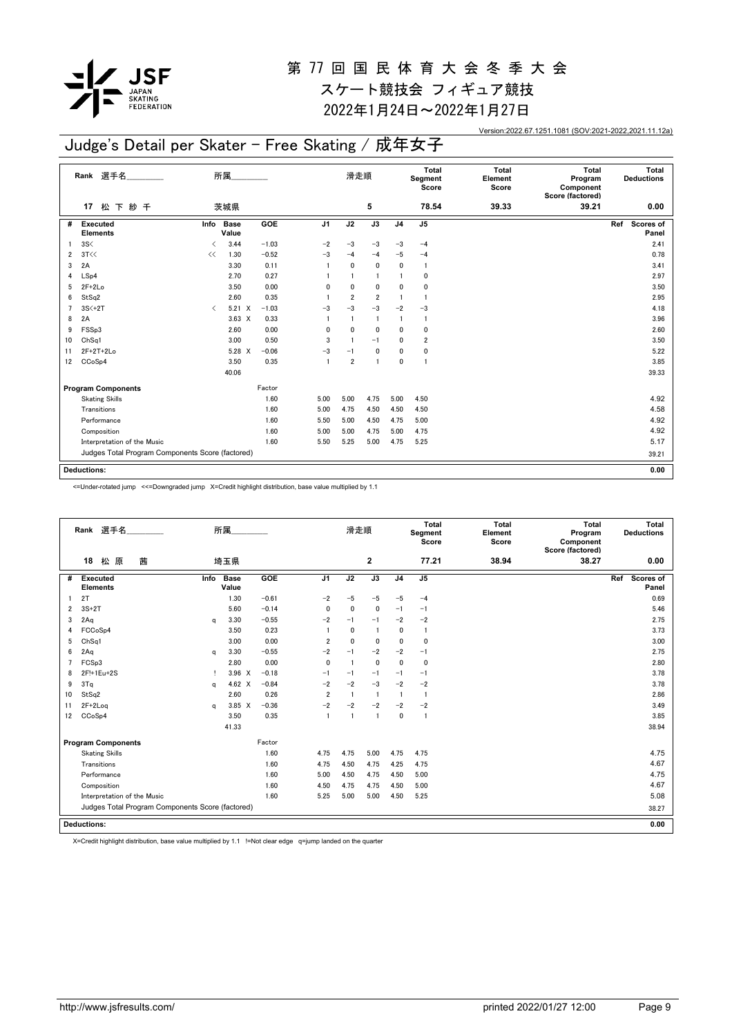

2022年1月24日~2022年1月27日

Version:2022.67.1251.1081 (SOV:2021-2022,2021.11.12a)

## Judge's Detail per Skater - Free Skating / 成年女子

|    | Rank 選手名                                         |                                          | 所属.                  |         |                | 滑走順            |                 |                | Total<br>Segment<br>Score | <b>Total</b><br>Element<br>Score | <b>Total</b><br>Program<br>Component<br>Score (factored) | Total<br><b>Deductions</b> |
|----|--------------------------------------------------|------------------------------------------|----------------------|---------|----------------|----------------|-----------------|----------------|---------------------------|----------------------------------|----------------------------------------------------------|----------------------------|
|    | 松下紗千<br>17                                       |                                          | 茨城県                  |         |                |                | 5               |                | 78.54                     | 39.33                            | 39.21                                                    | 0.00                       |
| #  | Executed<br><b>Elements</b>                      | Info                                     | <b>Base</b><br>Value | GOE     | J <sub>1</sub> | J2             | $\overline{J3}$ | J <sub>4</sub> | J <sub>5</sub>            |                                  |                                                          | Ref<br>Scores of<br>Panel  |
|    | 3S<                                              | $\overline{\phantom{a}}$                 | 3.44                 | $-1.03$ | $-2$           | $-3$           | $-3$            | $-3$           | $-4$                      |                                  |                                                          | 2.41                       |
| 2  | 3T<<                                             | <<                                       | 1.30                 | $-0.52$ | $-3$           | $-4$           | $-4$            | $-5$           | $-4$                      |                                  |                                                          | 0.78                       |
| 3  | 2A                                               |                                          | 3.30                 | 0.11    | $\overline{1}$ | 0              | $\mathbf 0$     | 0              | $\mathbf{1}$              |                                  |                                                          | 3.41                       |
| 4  | LSp4                                             |                                          | 2.70                 | 0.27    |                |                | $\overline{1}$  |                | 0                         |                                  |                                                          | 2.97                       |
| 5  | $2F+2Lo$                                         |                                          | 3.50                 | 0.00    | 0              | 0              | $\mathbf 0$     | 0              | 0                         |                                  |                                                          | 3.50                       |
| 6  | StSq2                                            |                                          | 2.60                 | 0.35    |                | $\overline{2}$ | $\overline{2}$  |                | $\mathbf{1}$              |                                  |                                                          | 2.95                       |
|    | $3S<+2T$                                         | $\overline{\left\langle \right\rangle }$ | $5.21 \tX$           | $-1.03$ | $-3$           | $-3$           | $-3$            | $-2$           | $-3$                      |                                  |                                                          | 4.18                       |
| 8  | 2A                                               |                                          | $3.63 \times$        | 0.33    | $\overline{1}$ | $\mathbf{1}$   | $\overline{1}$  |                | -1                        |                                  |                                                          | 3.96                       |
| 9  | FSSp3                                            |                                          | 2.60                 | 0.00    | 0              | 0              | 0               | 0              | 0                         |                                  |                                                          | 2.60                       |
| 10 | Ch <sub>Sq1</sub>                                |                                          | 3.00                 | 0.50    | 3              |                | $-1$            | 0              | 2                         |                                  |                                                          | 3.50                       |
| 11 | $2F+2T+2Lo$                                      |                                          | 5.28 X               | $-0.06$ | $-3$           | $-1$           | $\mathbf 0$     | 0              | 0                         |                                  |                                                          | 5.22                       |
| 12 | CCoSp4                                           |                                          | 3.50                 | 0.35    | $\overline{1}$ | $\overline{2}$ | $\overline{1}$  | $\mathbf{0}$   | $\mathbf{1}$              |                                  |                                                          | 3.85                       |
|    |                                                  |                                          | 40.06                |         |                |                |                 |                |                           |                                  |                                                          | 39.33                      |
|    | <b>Program Components</b>                        |                                          |                      | Factor  |                |                |                 |                |                           |                                  |                                                          |                            |
|    | <b>Skating Skills</b>                            |                                          |                      | 1.60    | 5.00           | 5.00           | 4.75            | 5.00           | 4.50                      |                                  |                                                          | 4.92                       |
|    | Transitions                                      |                                          |                      | 1.60    | 5.00           | 4.75           | 4.50            | 4.50           | 4.50                      |                                  |                                                          | 4.58                       |
|    | Performance                                      |                                          |                      | 1.60    | 5.50           | 5.00           | 4.50            | 4.75           | 5.00                      |                                  |                                                          | 4.92                       |
|    | Composition                                      |                                          |                      | 1.60    | 5.00           | 5.00           | 4.75            | 5.00           | 4.75                      |                                  |                                                          | 4.92                       |
|    | Interpretation of the Music                      |                                          |                      | 1.60    | 5.50           | 5.25           | 5.00            | 4.75           | 5.25                      |                                  |                                                          | 5.17                       |
|    | Judges Total Program Components Score (factored) |                                          |                      |         |                |                |                 |                |                           |                                  |                                                          | 39.21                      |
|    | <b>Deductions:</b>                               |                                          |                      |         |                |                |                 |                |                           |                                  |                                                          | 0.00                       |
|    |                                                  |                                          |                      |         |                |                |                 |                |                           |                                  |                                                          |                            |

<=Under-rotated jump <<=Downgraded jump X=Credit highlight distribution, base value multiplied by 1.1

|                    | Rank 選手名                                         |      | 所属                   |         |                | 滑走順            |                |                | Total<br>Segment<br>Score | Total<br>Element<br>Score | Total<br>Program<br>Component<br>Score (factored) |     | Total<br><b>Deductions</b> |
|--------------------|--------------------------------------------------|------|----------------------|---------|----------------|----------------|----------------|----------------|---------------------------|---------------------------|---------------------------------------------------|-----|----------------------------|
|                    | 原<br>茜<br>18<br>松                                |      | 埼玉県                  |         |                |                | 2              |                | 77.21                     | 38.94                     | 38.27                                             |     | 0.00                       |
| #                  | <b>Executed</b><br><b>Elements</b>               | Info | <b>Base</b><br>Value | GOE     | J <sub>1</sub> | J2             | J3             | J <sub>4</sub> | J <sub>5</sub>            |                           |                                                   | Ref | <b>Scores of</b><br>Panel  |
| 2T                 |                                                  |      | 1.30                 | $-0.61$ | $-2$           | $-5$           | $-5$           | $-5$           | $-4$                      |                           |                                                   |     | 0.69                       |
| 2                  | $3S+2T$                                          |      | 5.60                 | $-0.14$ | $\mathbf{0}$   | $\mathbf 0$    | $\mathbf 0$    | $-1$           | $-1$                      |                           |                                                   |     | 5.46                       |
| 3                  | 2Aq                                              | a    | 3.30                 | $-0.55$ | $-2$           | $-1$           | $-1$           | $-2$           | $-2$                      |                           |                                                   |     | 2.75                       |
| 4                  | FCCoSp4                                          |      | 3.50                 | 0.23    |                | $\mathbf{0}$   | -1             | 0              | $\overline{1}$            |                           |                                                   |     | 3.73                       |
| 5                  | Ch <sub>Sq1</sub>                                |      | 3.00                 | 0.00    | $\overline{2}$ | $\mathbf 0$    | 0              | $\mathbf{0}$   | $\mathbf 0$               |                           |                                                   |     | 3.00                       |
| 6                  | 2Aq                                              | a    | 3.30                 | $-0.55$ | $-2$           | $-1$           | $-2$           | $-2$           | $-1$                      |                           |                                                   |     | 2.75                       |
| 7                  | FCSp3                                            |      | 2.80                 | 0.00    | $\mathbf{0}$   | $\overline{1}$ | $\mathbf 0$    | $\mathbf 0$    | $\mathbf 0$               |                           |                                                   |     | 2.80                       |
| 8                  | 2F!+1Eu+2S                                       |      | $3.96 \times$        | $-0.18$ | $-1$           | $-1$           | $-1$           | $-1$           | $-1$                      |                           |                                                   |     | 3.78                       |
| 9                  | 3T <sub>a</sub>                                  | a    | 4.62 $\times$        | $-0.84$ | $-2$           | $-2$           | $-3$           | $-2$           | $-2$                      |                           |                                                   |     | 3.78                       |
| 10                 | StSq2                                            |      | 2.60                 | 0.26    | $\overline{2}$ | $\overline{1}$ | $\overline{1}$ | $\mathbf{1}$   | $\mathbf{1}$              |                           |                                                   |     | 2.86                       |
| 11                 | $2F+2Log$                                        | a    | 3.85 X               | $-0.36$ | $-2$           | $-2$           | $-2$           | $-2$           | $-2$                      |                           |                                                   |     | 3.49                       |
| 12                 | CC <sub>o</sub> S <sub>p4</sub>                  |      | 3.50                 | 0.35    | $\overline{1}$ | $\overline{1}$ | $\overline{1}$ | 0              | $\overline{1}$            |                           |                                                   |     | 3.85                       |
|                    |                                                  |      | 41.33                |         |                |                |                |                |                           |                           |                                                   |     | 38.94                      |
|                    | <b>Program Components</b>                        |      |                      | Factor  |                |                |                |                |                           |                           |                                                   |     |                            |
|                    | <b>Skating Skills</b>                            |      |                      | 1.60    | 4.75           | 4.75           | 5.00           | 4.75           | 4.75                      |                           |                                                   |     | 4.75                       |
|                    | Transitions                                      |      |                      | 1.60    | 4.75           | 4.50           | 4.75           | 4.25           | 4.75                      |                           |                                                   |     | 4.67                       |
|                    | Performance                                      |      |                      | 1.60    | 5.00           | 4.50           | 4.75           | 4.50           | 5.00                      |                           |                                                   |     | 4.75                       |
|                    | Composition                                      |      |                      | 1.60    | 4.50           | 4.75           | 4.75           | 4.50           | 5.00                      |                           |                                                   |     | 4.67                       |
|                    | Interpretation of the Music                      |      |                      | 1.60    | 5.25           | 5.00           | 5.00           | 4.50           | 5.25                      |                           |                                                   |     | 5.08                       |
|                    | Judges Total Program Components Score (factored) |      |                      |         |                |                |                |                |                           |                           |                                                   |     | 38.27                      |
| <b>Deductions:</b> |                                                  |      |                      |         |                |                |                |                |                           |                           |                                                   |     | 0.00                       |

X=Credit highlight distribution, base value multiplied by 1.1 !=Not clear edge q=jump landed on the quarter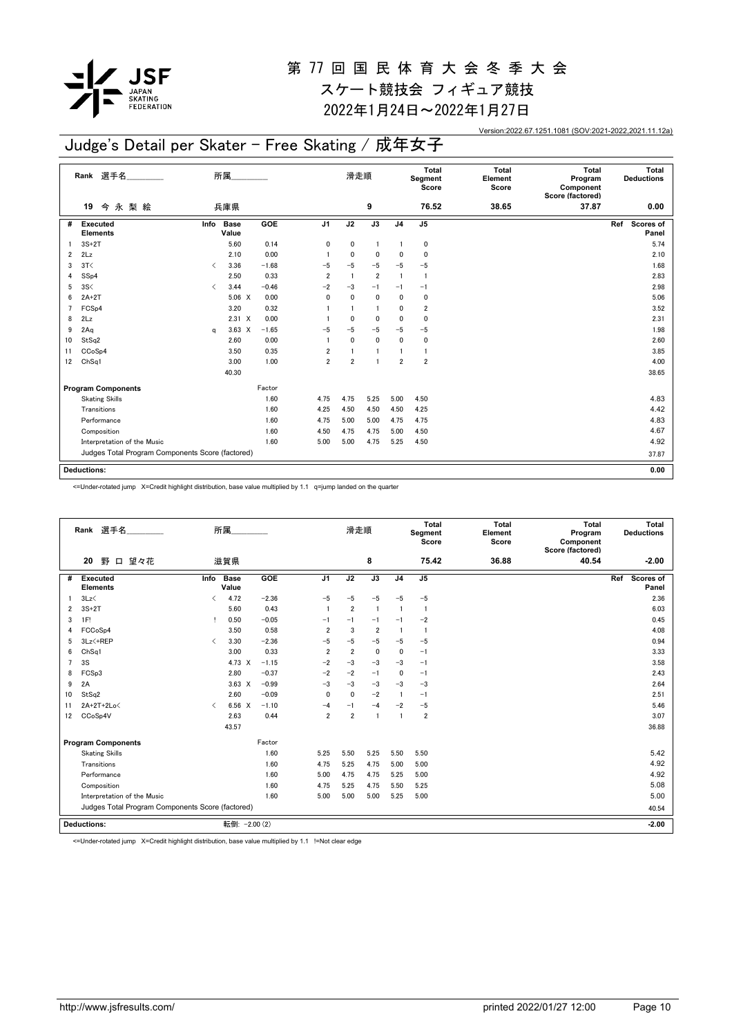

## 第 77 回 国 民 体 育 大 会 冬 季 大 会

スケート競技会 フィギュア競技 2022年1月24日~2022年1月27日

Version:2022.67.1251.1081 (SOV:2021-2022,2021.11.12a)

## Judge's Detail per Skater - Free Skating / 成年女子

|    | Rank 選手名                                         |                                          | 所属.                  |         |                         | 滑走順            |                |                | Total<br>Segment<br>Score | <b>Total</b><br>Element<br>Score | <b>Total</b><br>Program<br>Component<br>Score (factored) | Total<br><b>Deductions</b> |
|----|--------------------------------------------------|------------------------------------------|----------------------|---------|-------------------------|----------------|----------------|----------------|---------------------------|----------------------------------|----------------------------------------------------------|----------------------------|
|    | 今永梨絵<br>19                                       |                                          | 兵庫県                  |         |                         |                | 9              |                | 76.52                     | 38.65                            | 37.87                                                    | 0.00                       |
| #  | <b>Executed</b><br><b>Elements</b>               | Info                                     | <b>Base</b><br>Value | GOE     | J <sub>1</sub>          | J2             | J3             | J <sub>4</sub> | J <sub>5</sub>            |                                  |                                                          | Ref<br>Scores of<br>Panel  |
|    | $3S+2T$                                          |                                          | 5.60                 | 0.14    | 0                       | 0              | $\overline{1}$ |                | 0                         |                                  |                                                          | 5.74                       |
| 2  | 2Lz                                              |                                          | 2.10                 | 0.00    |                         | 0              | $\mathbf 0$    | 0              | 0                         |                                  |                                                          | 2.10                       |
| 3  | 3T<                                              | $\overline{\left\langle \right\rangle }$ | 3.36                 | $-1.68$ | $-5$                    | $-5$           | $-5$           | $-5$           | $-5$                      |                                  |                                                          | 1.68                       |
| 4  | SSp4                                             |                                          | 2.50                 | 0.33    | $\overline{2}$          | $\mathbf{1}$   | $\overline{2}$ |                | 1                         |                                  |                                                          | 2.83                       |
| 5  | 3S<                                              | $\overline{\left( \right. }%$            | 3.44                 | $-0.46$ | $-2$                    | $-3$           | $-1$           | $-1$           | $-1$                      |                                  |                                                          | 2.98                       |
| 6  | $2A+2T$                                          |                                          | $5.06 \t X$          | 0.00    | $\mathbf{0}$            | 0              | 0              | 0              | 0                         |                                  |                                                          | 5.06                       |
|    | FCS <sub>p4</sub>                                |                                          | 3.20                 | 0.32    |                         |                | $\blacksquare$ | 0              | $\overline{\mathbf{2}}$   |                                  |                                                          | 3.52                       |
| 8  | 2Lz                                              |                                          | $2.31 \times$        | 0.00    |                         | $\mathbf{0}$   | $\mathbf 0$    | 0              | 0                         |                                  |                                                          | 2.31                       |
| 9  | 2Aq                                              | a                                        | $3.63 \times$        | $-1.65$ | -5                      | $-5$           | $-5$           | $-5$           | $-5$                      |                                  |                                                          | 1.98                       |
| 10 | StSq2                                            |                                          | 2.60                 | 0.00    | $\overline{\mathbf{1}}$ | $\mathbf{0}$   | $\mathbf{0}$   | $\mathbf{0}$   | 0                         |                                  |                                                          | 2.60                       |
| 11 | CCoSp4                                           |                                          | 3.50                 | 0.35    | $\overline{2}$          |                | $\blacksquare$ |                | $\mathbf{1}$              |                                  |                                                          | 3.85                       |
| 12 | ChSq1                                            |                                          | 3.00                 | 1.00    | $\overline{2}$          | $\overline{2}$ | $\overline{1}$ | $\overline{2}$ | $\overline{\mathbf{2}}$   |                                  |                                                          | 4.00                       |
|    |                                                  |                                          | 40.30                |         |                         |                |                |                |                           |                                  |                                                          | 38.65                      |
|    | <b>Program Components</b>                        |                                          |                      | Factor  |                         |                |                |                |                           |                                  |                                                          |                            |
|    | <b>Skating Skills</b>                            |                                          |                      | 1.60    | 4.75                    | 4.75           | 5.25           | 5.00           | 4.50                      |                                  |                                                          | 4.83                       |
|    | Transitions                                      |                                          |                      | 1.60    | 4.25                    | 4.50           | 4.50           | 4.50           | 4.25                      |                                  |                                                          | 4.42                       |
|    | Performance                                      |                                          |                      | 1.60    | 4.75                    | 5.00           | 5.00           | 4.75           | 4.75                      |                                  |                                                          | 4.83                       |
|    | Composition                                      |                                          |                      | 1.60    | 4.50                    | 4.75           | 4.75           | 5.00           | 4.50                      |                                  |                                                          | 4.67                       |
|    | Interpretation of the Music                      |                                          |                      | 1.60    | 5.00                    | 5.00           | 4.75           | 5.25           | 4.50                      |                                  |                                                          | 4.92                       |
|    | Judges Total Program Components Score (factored) |                                          |                      |         |                         |                |                |                |                           |                                  |                                                          | 37.87                      |
|    |                                                  |                                          |                      |         |                         |                |                |                |                           |                                  |                                                          |                            |
|    | <b>Deductions:</b>                               |                                          |                      |         |                         |                |                |                |                           |                                  |                                                          | 0.00                       |

<=Under-rotated jump X=Credit highlight distribution, base value multiplied by 1.1 q=jump landed on the quarter

|                | Rank 選手名                           |                                                  | 所属                   |         |                | 滑走順            |                |                | Total<br>Segment<br>Score | Total<br>Element<br>Score | Total<br>Program<br>Component<br>Score (factored) |     | Total<br><b>Deductions</b> |
|----------------|------------------------------------|--------------------------------------------------|----------------------|---------|----------------|----------------|----------------|----------------|---------------------------|---------------------------|---------------------------------------------------|-----|----------------------------|
|                | 野<br>口 望々花<br>20                   |                                                  | 滋賀県                  |         |                |                | 8              |                | 75.42                     | 36.88                     | 40.54                                             |     | $-2.00$                    |
| #              | <b>Executed</b><br><b>Elements</b> | Info                                             | <b>Base</b><br>Value | GOE     | J <sub>1</sub> | J2             | J3             | J <sub>4</sub> | J <sub>5</sub>            |                           |                                                   | Ref | Scores of<br>Panel         |
|                | 3Lz                                | ≺                                                | 4.72                 | $-2.36$ | $-5$           | $-5$           | $-5$           | $-5$           | $-5$                      |                           |                                                   |     | 2.36                       |
| 2              | $3S+2T$                            |                                                  | 5.60                 | 0.43    | $\overline{1}$ | $\overline{2}$ | $\overline{1}$ | $\overline{1}$ | $\overline{1}$            |                           |                                                   |     | 6.03                       |
| 3              | 1F!                                | Ţ.                                               | 0.50                 | $-0.05$ | $-1$           | $-1$           | $-1$           | $-1$           | $-2$                      |                           |                                                   |     | 0.45                       |
|                | FCCoSp4                            |                                                  | 3.50                 | 0.58    | $\overline{2}$ | 3              | $\overline{2}$ | -1             | $\overline{1}$            |                           |                                                   |     | 4.08                       |
| 5              | 3Lz <+REP                          | $\overline{\left( \right. }%$                    | 3.30                 | $-2.36$ | $-5$           | $-5$           | $-5$           | $-5$           | $-5$                      |                           |                                                   |     | 0.94                       |
| 6              | ChSq1                              |                                                  | 3.00                 | 0.33    | $\overline{2}$ | $\overline{2}$ | 0              | 0              | $-1$                      |                           |                                                   |     | 3.33                       |
| $\overline{7}$ | 3S                                 |                                                  | 4.73 X               | $-1.15$ | $-2$           | $-3$           | $-3$           | $-3$           | $-1$                      |                           |                                                   |     | 3.58                       |
| 8              | FCSp3                              |                                                  | 2.80                 | $-0.37$ | $-2$           | $-2$           | $-1$           | 0              | $-1$                      |                           |                                                   |     | 2.43                       |
| 9              | 2A                                 |                                                  | $3.63 \times$        | $-0.99$ | $-3$           | $-3$           | $-3$           | $-3$           | $-3$                      |                           |                                                   |     | 2.64                       |
| 10             | StSq2                              |                                                  | 2.60                 | $-0.09$ | $\mathbf{0}$   | $\mathbf 0$    | $-2$           | $\mathbf{1}$   | $-1$                      |                           |                                                   |     | 2.51                       |
| 11             | 2A+2T+2Lo<                         | $\langle$                                        | 6.56 X               | $-1.10$ | $-4$           | $-1$           | $-4$           | $-2$           | $-5$                      |                           |                                                   |     | 5.46                       |
| 12             | CCoSp4V                            |                                                  | 2.63                 | 0.44    | $\overline{2}$ | $\overline{2}$ | $\overline{1}$ | $\mathbf{1}$   | $\overline{2}$            |                           |                                                   |     | 3.07                       |
|                |                                    |                                                  | 43.57                |         |                |                |                |                |                           |                           |                                                   |     | 36.88                      |
|                | <b>Program Components</b>          |                                                  |                      | Factor  |                |                |                |                |                           |                           |                                                   |     |                            |
|                | <b>Skating Skills</b>              |                                                  |                      | 1.60    | 5.25           | 5.50           | 5.25           | 5.50           | 5.50                      |                           |                                                   |     | 5.42                       |
|                | Transitions                        |                                                  |                      | 1.60    | 4.75           | 5.25           | 4.75           | 5.00           | 5.00                      |                           |                                                   |     | 4.92                       |
|                | Performance                        |                                                  |                      | 1.60    | 5.00           | 4.75           | 4.75           | 5.25           | 5.00                      |                           |                                                   |     | 4.92                       |
|                | Composition                        |                                                  |                      | 1.60    | 4.75           | 5.25           | 4.75           | 5.50           | 5.25                      |                           |                                                   |     | 5.08                       |
|                | Interpretation of the Music        |                                                  |                      | 1.60    | 5.00           | 5.00           | 5.00           | 5.25           | 5.00                      |                           |                                                   |     | 5.00                       |
|                |                                    | Judges Total Program Components Score (factored) |                      |         |                |                |                |                |                           |                           |                                                   |     | 40.54                      |
|                | <b>Deductions:</b>                 |                                                  | 転倒: - 2.00 (2)       |         |                |                |                |                |                           |                           |                                                   |     | $-2.00$                    |

<=Under-rotated jump X=Credit highlight distribution, base value multiplied by 1.1 !=Not clear edge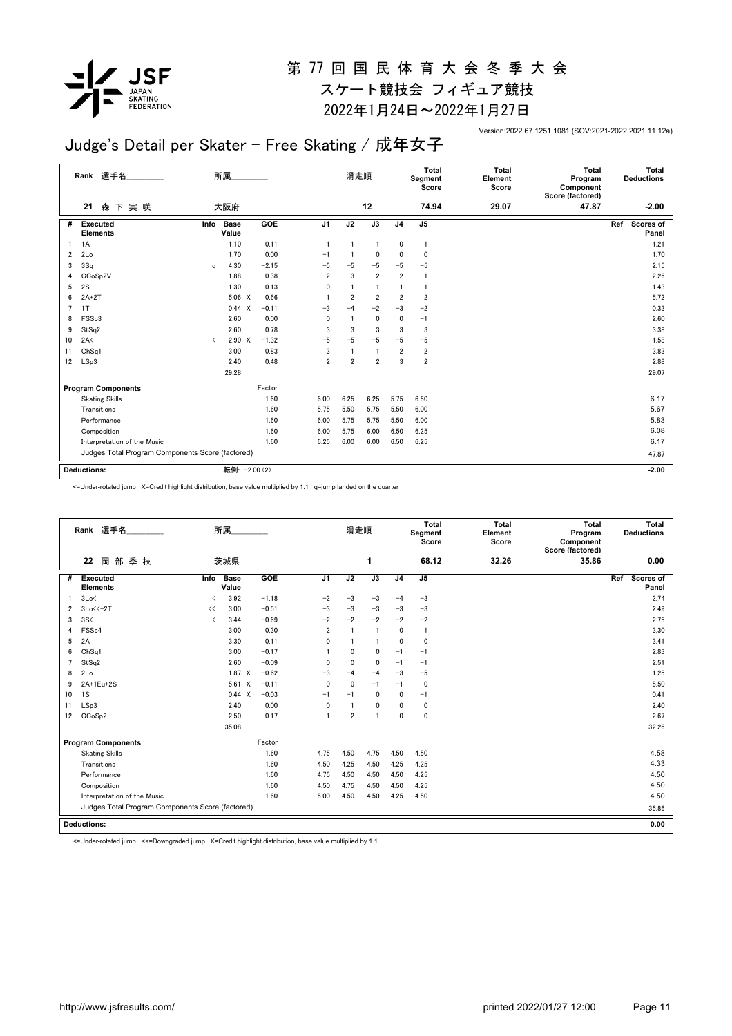

# 第 77 回 国 民 体 育 大 会 冬 季 大 会

スケート競技会 フィギュア競技 2022年1月24日~2022年1月27日

Version:2022.67.1251.1081 (SOV:2021-2022,2021.11.12a)

## Judge's Detail per Skater - Free Skating / 成年女子

|                | Rank 選手名                                         |                               | 所属                   |         |                | 滑走順                     |                 |                | Total<br>Segment<br>Score | <b>Total</b><br>Element<br>Score | <b>Total</b><br>Program<br>Component<br>Score (factored) | Total<br><b>Deductions</b> |
|----------------|--------------------------------------------------|-------------------------------|----------------------|---------|----------------|-------------------------|-----------------|----------------|---------------------------|----------------------------------|----------------------------------------------------------|----------------------------|
|                | 森下実咲<br>21                                       |                               | 大阪府                  |         |                |                         | 12              |                | 74.94                     | 29.07                            | 47.87                                                    | $-2.00$                    |
| #              | Executed<br><b>Elements</b>                      | Info                          | <b>Base</b><br>Value | GOE     | J <sub>1</sub> | J2                      | $\overline{J3}$ | J <sub>4</sub> | J <sub>5</sub>            |                                  |                                                          | Scores of<br>Ref<br>Panel  |
|                | 1A                                               |                               | 1.10                 | 0.11    |                | $\overline{1}$          | $\mathbf{1}$    | 0              | $\overline{1}$            |                                  |                                                          | 1.21                       |
| $\overline{2}$ | 2Lo                                              |                               | 1.70                 | 0.00    | $-1$           | $\overline{\mathbf{1}}$ | $\mathbf{0}$    | $\mathbf{0}$   | 0                         |                                  |                                                          | 1.70                       |
| 3              | 3Sq                                              | a                             | 4.30                 | $-2.15$ | $-5$           | $-5$                    | $-5$            | $-5$           | $-5$                      |                                  |                                                          | 2.15                       |
| 4              | CCoSp2V                                          |                               | 1.88                 | 0.38    | $\overline{2}$ | 3                       | $\overline{2}$  | $\overline{2}$ | $\mathbf{1}$              |                                  |                                                          | 2.26                       |
| 5              | 2S                                               |                               | 1.30                 | 0.13    | 0              | $\overline{1}$          | $\overline{1}$  | $\mathbf{1}$   | $\mathbf{1}$              |                                  |                                                          | 1.43                       |
| 6              | $2A+2T$                                          |                               | $5.06 \quad X$       | 0.66    |                | $\overline{2}$          | $\overline{2}$  | $\overline{2}$ | $\overline{2}$            |                                  |                                                          | 5.72                       |
| $\overline{7}$ | 1T                                               |                               | 0.44 X               | $-0.11$ | $-3$           | $-4$                    | $-2$            | $-3$           | $-2$                      |                                  |                                                          | 0.33                       |
| 8              | FSSp3                                            |                               | 2.60                 | 0.00    | $\mathbf{0}$   | $\overline{1}$          | $\mathbf 0$     | $\mathbf{0}$   | $-1$                      |                                  |                                                          | 2.60                       |
| 9              | StSq2                                            |                               | 2.60                 | 0.78    | 3              | 3                       | 3               | 3              | 3                         |                                  |                                                          | 3.38                       |
| 10             | 2A<                                              | $\overline{\left( \right. }%$ | $2.90 \t X$          | $-1.32$ | $-5$           | -5                      | $-5$            | $-5$           | $-5$                      |                                  |                                                          | 1.58                       |
| 11             | Ch <sub>Sq1</sub>                                |                               | 3.00                 | 0.83    | 3              |                         | $\overline{1}$  | $\overline{2}$ | $\overline{\mathbf{2}}$   |                                  |                                                          | 3.83                       |
| 12             | LSp3                                             |                               | 2.40                 | 0.48    | $\overline{2}$ | $\overline{2}$          | $\overline{2}$  | 3              | $\overline{\mathbf{2}}$   |                                  |                                                          | 2.88                       |
|                |                                                  |                               | 29.28                |         |                |                         |                 |                |                           |                                  |                                                          | 29.07                      |
|                | <b>Program Components</b>                        |                               |                      | Factor  |                |                         |                 |                |                           |                                  |                                                          |                            |
|                | <b>Skating Skills</b>                            |                               |                      | 1.60    | 6.00           | 6.25                    | 6.25            | 5.75           | 6.50                      |                                  |                                                          | 6.17                       |
|                | Transitions                                      |                               |                      | 1.60    | 5.75           | 5.50                    | 5.75            | 5.50           | 6.00                      |                                  |                                                          | 5.67                       |
|                | Performance                                      |                               |                      | 1.60    | 6.00           | 5.75                    | 5.75            | 5.50           | 6.00                      |                                  |                                                          | 5.83                       |
|                | Composition                                      |                               |                      | 1.60    | 6.00           | 5.75                    | 6.00            | 6.50           | 6.25                      |                                  |                                                          | 6.08                       |
|                | Interpretation of the Music                      |                               |                      | 1.60    | 6.25           | 6.00                    | 6.00            | 6.50           | 6.25                      |                                  |                                                          | 6.17                       |
|                | Judges Total Program Components Score (factored) |                               |                      |         |                |                         |                 |                |                           |                                  |                                                          | 47.87                      |
|                | <b>Deductions:</b>                               |                               | 転倒: - 2.00 (2)       |         |                |                         |                 |                |                           |                                  |                                                          | $-2.00$                    |

<=Under-rotated jump X=Credit highlight distribution, base value multiplied by 1.1 q=jump landed on the quarter

|    | Rank 選手名                                         |                                          | 所属                   |         |                | 滑走順            |                |                | <b>Total</b><br>Segment<br>Score | Total<br>Element<br>Score | Total<br>Program<br>Component<br>Score (factored) | Total<br><b>Deductions</b> |
|----|--------------------------------------------------|------------------------------------------|----------------------|---------|----------------|----------------|----------------|----------------|----------------------------------|---------------------------|---------------------------------------------------|----------------------------|
|    | 岡部季枝<br>22                                       |                                          | 茨城県                  |         |                |                | 1              |                | 68.12                            | 32.26                     | 35.86                                             | 0.00                       |
| #  | <b>Executed</b><br><b>Elements</b>               | Info                                     | <b>Base</b><br>Value | GOE     | J <sub>1</sub> | J2             | J3             | J <sub>4</sub> | J <sub>5</sub>                   |                           |                                                   | Scores of<br>Ref<br>Panel  |
|    | 3Lo<                                             | $\overline{\left\langle \right\rangle }$ | 3.92                 | $-1.18$ | $-2$           | $-3$           | $-3$           | $-4$           | $-3$                             |                           |                                                   | 2.74                       |
| 2  | $3Lo<<+2T$                                       | <<                                       | 3.00                 | $-0.51$ | $-3$           | $-3$           | $-3$           | $-3$           | $-3$                             |                           |                                                   | 2.49                       |
| 3  | 3S<                                              | $\overline{\left\langle \right\rangle }$ | 3.44                 | $-0.69$ | $-2$           | $-2$           | $-2$           | $-2$           | $-2$                             |                           |                                                   | 2.75                       |
| 4  | FSSp4                                            |                                          | 3.00                 | 0.30    | $\overline{2}$ | $\overline{1}$ | $\overline{1}$ | 0              | $\overline{1}$                   |                           |                                                   | 3.30                       |
| 5  | 2A                                               |                                          | 3.30                 | 0.11    | 0              | $\mathbf{1}$   | $\blacksquare$ | 0              | $\mathbf 0$                      |                           |                                                   | 3.41                       |
| 6  | ChSq1                                            |                                          | 3.00                 | $-0.17$ |                | 0              | 0              | $-1$           | $-1$                             |                           |                                                   | 2.83                       |
| 7  | StSq2                                            |                                          | 2.60                 | $-0.09$ | $\mathbf{0}$   | $\mathbf{0}$   | $\mathbf 0$    | $-1$           | $-1$                             |                           |                                                   | 2.51                       |
| 8  | 2Lo                                              |                                          | $1.87 \times$        | $-0.62$ | $-3$           | $-4$           | $-4$           | $-3$           | $-5$                             |                           |                                                   | 1.25                       |
| 9  | 2A+1Eu+2S                                        |                                          | 5.61 X               | $-0.11$ | $\mathbf{0}$   | $\mathbf{0}$   | $-1$           | $-1$           | $\mathbf 0$                      |                           |                                                   | 5.50                       |
| 10 | 1S                                               |                                          | 0.44<br>$\mathsf{x}$ | $-0.03$ | $-1$           | $-1$           | $\mathbf{0}$   | 0              | $-1$                             |                           |                                                   | 0.41                       |
| 11 | LSp3                                             |                                          | 2.40                 | 0.00    | $\mathbf{0}$   |                | $\mathbf{0}$   | 0              | $\mathbf 0$                      |                           |                                                   | 2.40                       |
| 12 | CCoSp2                                           |                                          | 2.50                 | 0.17    | $\overline{1}$ | $\overline{2}$ | $\blacksquare$ | 0              | $\mathbf 0$                      |                           |                                                   | 2.67                       |
|    |                                                  |                                          | 35.08                |         |                |                |                |                |                                  |                           |                                                   | 32.26                      |
|    | <b>Program Components</b>                        |                                          |                      | Factor  |                |                |                |                |                                  |                           |                                                   |                            |
|    | <b>Skating Skills</b>                            |                                          |                      | 1.60    | 4.75           | 4.50           | 4.75           | 4.50           | 4.50                             |                           |                                                   | 4.58                       |
|    | Transitions                                      |                                          |                      | 1.60    | 4.50           | 4.25           | 4.50           | 4.25           | 4.25                             |                           |                                                   | 4.33                       |
|    | Performance                                      |                                          |                      | 1.60    | 4.75           | 4.50           | 4.50           | 4.50           | 4.25                             |                           |                                                   | 4.50                       |
|    | Composition                                      |                                          |                      | 1.60    | 4.50           | 4.75           | 4.50           | 4.50           | 4.25                             |                           |                                                   | 4.50                       |
|    | Interpretation of the Music                      |                                          |                      | 1.60    | 5.00           | 4.50           | 4.50           | 4.25           | 4.50                             |                           |                                                   | 4.50                       |
|    | Judges Total Program Components Score (factored) |                                          |                      |         |                |                |                |                |                                  |                           |                                                   | 35.86                      |
|    | <b>Deductions:</b>                               |                                          |                      |         |                |                |                |                |                                  |                           |                                                   | 0.00                       |
|    |                                                  |                                          |                      |         |                |                |                |                |                                  |                           |                                                   |                            |

<=Under-rotated jump <<=Downgraded jump X=Credit highlight distribution, base value multiplied by 1.1